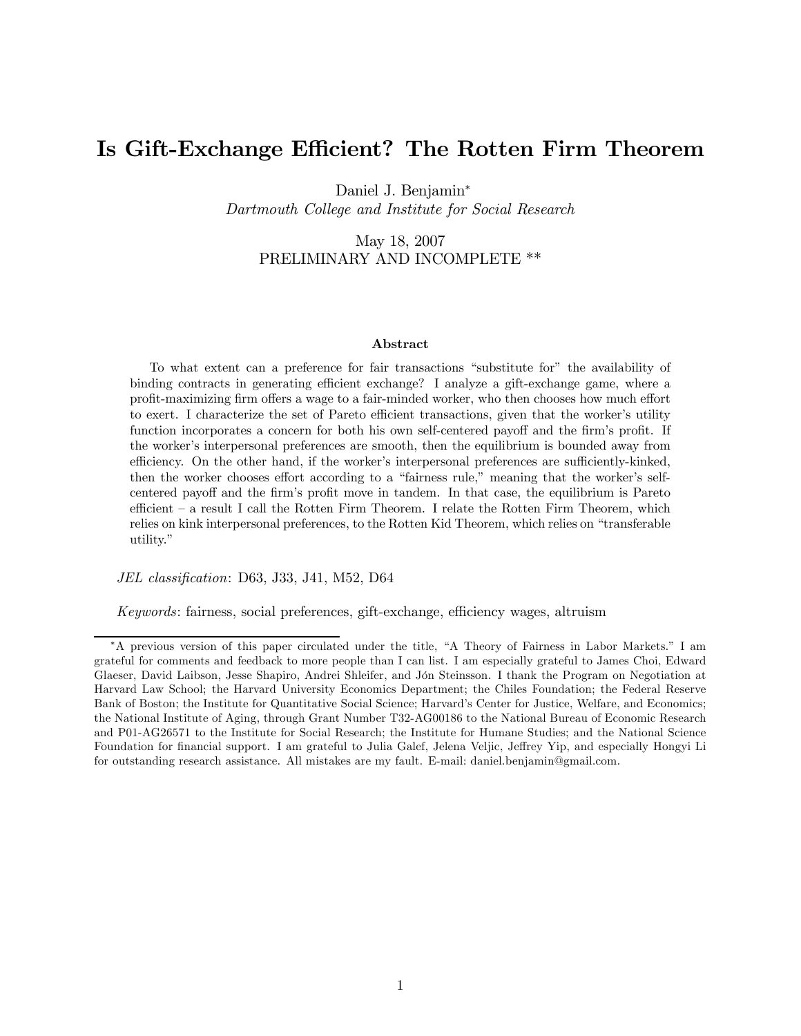## Is Gift-Exchange Efficient? The Rotten Firm Theorem

Daniel J. Benjamin<sup>∗</sup>

Dartmouth College and Institute for Social Research

May 18, 2007 PRELIMINARY AND INCOMPLETE \*\*

#### Abstract

To what extent can a preference for fair transactions "substitute for" the availability of binding contracts in generating efficient exchange? I analyze a gift-exchange game, where a profit-maximizing firm offers a wage to a fair-minded worker, who then chooses how much effort to exert. I characterize the set of Pareto efficient transactions, given that the worker's utility function incorporates a concern for both his own self-centered payoff and the firm's profit. If the worker's interpersonal preferences are smooth, then the equilibrium is bounded away from efficiency. On the other hand, if the worker's interpersonal preferences are sufficiently-kinked, then the worker chooses effort according to a "fairness rule," meaning that the worker's selfcentered payoff and the firm's profit move in tandem. In that case, the equilibrium is Pareto efficient — a result I call the Rotten Firm Theorem. I relate the Rotten Firm Theorem, which relies on kink interpersonal preferences, to the Rotten Kid Theorem, which relies on "transferable utility."

JEL classification: D63, J33, J41, M52, D64

Keywords: fairness, social preferences, gift-exchange, efficiency wages, altruism

<sup>∗</sup>A previous version of this paper circulated under the title, "A Theory of Fairness in Labor Markets." I am grateful for comments and feedback to more people than I can list. I am especially grateful to James Choi, Edward Glaeser, David Laibson, Jesse Shapiro, Andrei Shleifer, and Jón Steinsson. I thank the Program on Negotiation at Harvard Law School; the Harvard University Economics Department; the Chiles Foundation; the Federal Reserve Bank of Boston; the Institute for Quantitative Social Science; Harvard's Center for Justice, Welfare, and Economics; the National Institute of Aging, through Grant Number T32-AG00186 to the National Bureau of Economic Research and P01-AG26571 to the Institute for Social Research; the Institute for Humane Studies; and the National Science Foundation for financial support. I am grateful to Julia Galef, Jelena Veljic, Jeffrey Yip, and especially Hongyi Li for outstanding research assistance. All mistakes are my fault. E-mail: daniel.benjamin@gmail.com.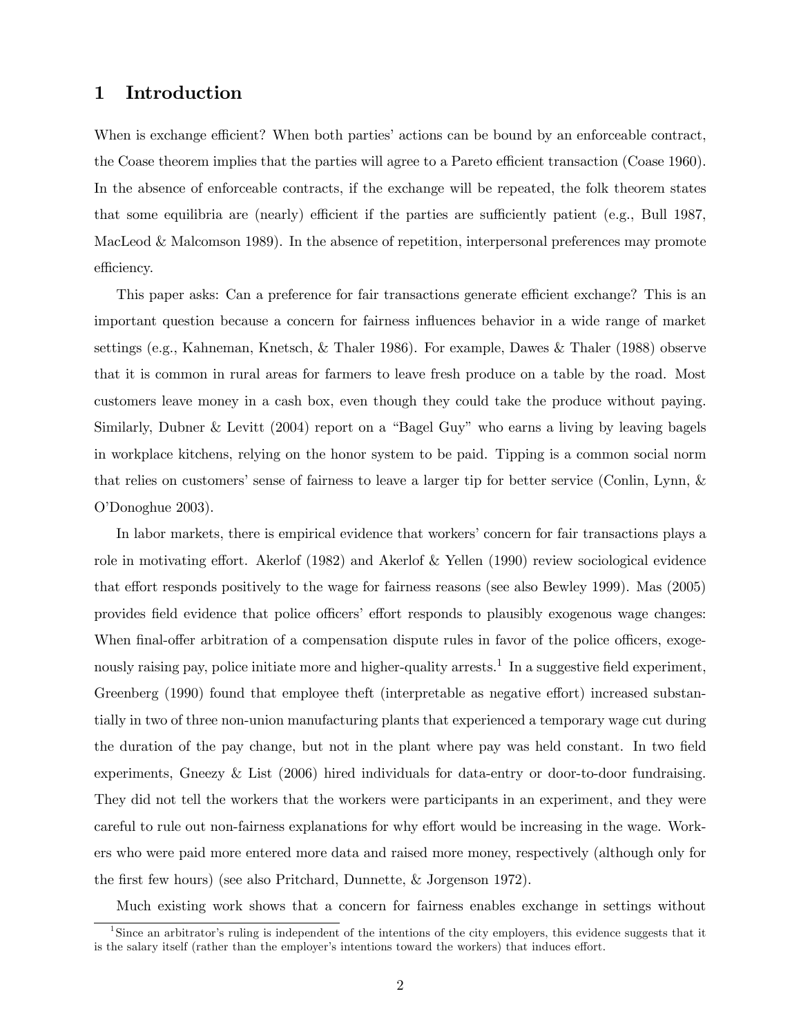## 1 Introduction

When is exchange efficient? When both parties' actions can be bound by an enforceable contract, the Coase theorem implies that the parties will agree to a Pareto efficient transaction (Coase 1960). In the absence of enforceable contracts, if the exchange will be repeated, the folk theorem states that some equilibria are (nearly) efficient if the parties are sufficiently patient (e.g., Bull 1987, MacLeod & Malcomson 1989). In the absence of repetition, interpersonal preferences may promote efficiency.

This paper asks: Can a preference for fair transactions generate efficient exchange? This is an important question because a concern for fairness influences behavior in a wide range of market settings (e.g., Kahneman, Knetsch, & Thaler 1986). For example, Dawes & Thaler (1988) observe that it is common in rural areas for farmers to leave fresh produce on a table by the road. Most customers leave money in a cash box, even though they could take the produce without paying. Similarly, Dubner & Levitt (2004) report on a "Bagel Guy" who earns a living by leaving bagels in workplace kitchens, relying on the honor system to be paid. Tipping is a common social norm that relies on customers' sense of fairness to leave a larger tip for better service (Conlin, Lynn, & O'Donoghue 2003).

In labor markets, there is empirical evidence that workers' concern for fair transactions plays a role in motivating effort. Akerlof (1982) and Akerlof & Yellen (1990) review sociological evidence that effort responds positively to the wage for fairness reasons (see also Bewley 1999). Mas (2005) provides field evidence that police officers' effort responds to plausibly exogenous wage changes: When final-offer arbitration of a compensation dispute rules in favor of the police officers, exogenously raising pay, police initiate more and higher-quality arrests.<sup>1</sup> In a suggestive field experiment, Greenberg (1990) found that employee theft (interpretable as negative effort) increased substantially in two of three non-union manufacturing plants that experienced a temporary wage cut during the duration of the pay change, but not in the plant where pay was held constant. In two field experiments, Gneezy & List (2006) hired individuals for data-entry or door-to-door fundraising. They did not tell the workers that the workers were participants in an experiment, and they were careful to rule out non-fairness explanations for why effort would be increasing in the wage. Workers who were paid more entered more data and raised more money, respectively (although only for the first few hours) (see also Pritchard, Dunnette, & Jorgenson 1972).

Much existing work shows that a concern for fairness enables exchange in settings without

<sup>&</sup>lt;sup>1</sup>Since an arbitrator's ruling is independent of the intentions of the city employers, this evidence suggests that it is the salary itself (rather than the employer's intentions toward the workers) that induces effort.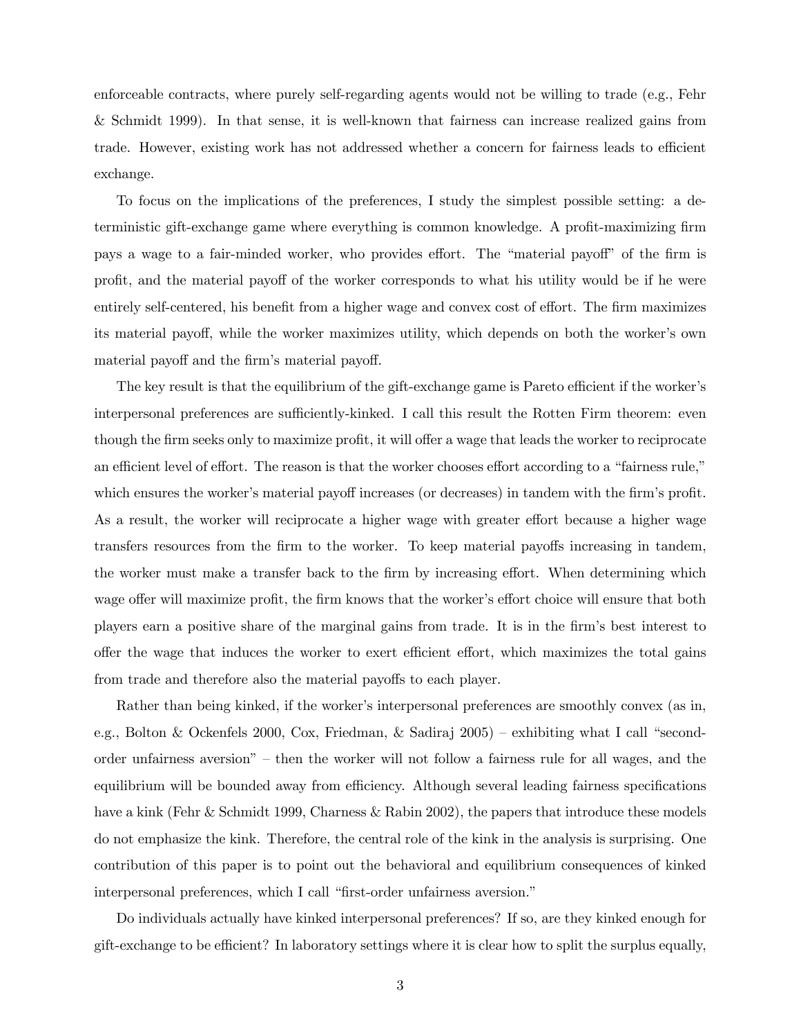enforceable contracts, where purely self-regarding agents would not be willing to trade (e.g., Fehr & Schmidt 1999). In that sense, it is well-known that fairness can increase realized gains from trade. However, existing work has not addressed whether a concern for fairness leads to efficient exchange.

To focus on the implications of the preferences, I study the simplest possible setting: a deterministic gift-exchange game where everything is common knowledge. A profit-maximizing firm pays a wage to a fair-minded worker, who provides effort. The "material payoff" of the firm is profit, and the material payoff of the worker corresponds to what his utility would be if he were entirely self-centered, his benefit from a higher wage and convex cost of effort. The firm maximizes its material payoff, while the worker maximizes utility, which depends on both the worker's own material payoff and the firm's material payoff.

The key result is that the equilibrium of the gift-exchange game is Pareto efficient if the worker's interpersonal preferences are sufficiently-kinked. I call this result the Rotten Firm theorem: even though the firm seeks only to maximize profit, it will offer a wage that leads the worker to reciprocate an efficient level of effort. The reason is that the worker chooses effort according to a "fairness rule," which ensures the worker's material payoff increases (or decreases) in tandem with the firm's profit. As a result, the worker will reciprocate a higher wage with greater effort because a higher wage transfers resources from the firm to the worker. To keep material payoffs increasing in tandem, the worker must make a transfer back to the firm by increasing effort. When determining which wage offer will maximize profit, the firm knows that the worker's effort choice will ensure that both players earn a positive share of the marginal gains from trade. It is in the firm's best interest to offer the wage that induces the worker to exert efficient effort, which maximizes the total gains from trade and therefore also the material payoffs to each player.

Rather than being kinked, if the worker's interpersonal preferences are smoothly convex (as in, e.g., Bolton & Ockenfels 2000, Cox, Friedman, & Sadiraj 2005) — exhibiting what I call "secondorder unfairness aversion" — then the worker will not follow a fairness rule for all wages, and the equilibrium will be bounded away from efficiency. Although several leading fairness specifications have a kink (Fehr & Schmidt 1999, Charness & Rabin 2002), the papers that introduce these models do not emphasize the kink. Therefore, the central role of the kink in the analysis is surprising. One contribution of this paper is to point out the behavioral and equilibrium consequences of kinked interpersonal preferences, which I call "first-order unfairness aversion."

Do individuals actually have kinked interpersonal preferences? If so, are they kinked enough for gift-exchange to be efficient? In laboratory settings where it is clear how to split the surplus equally,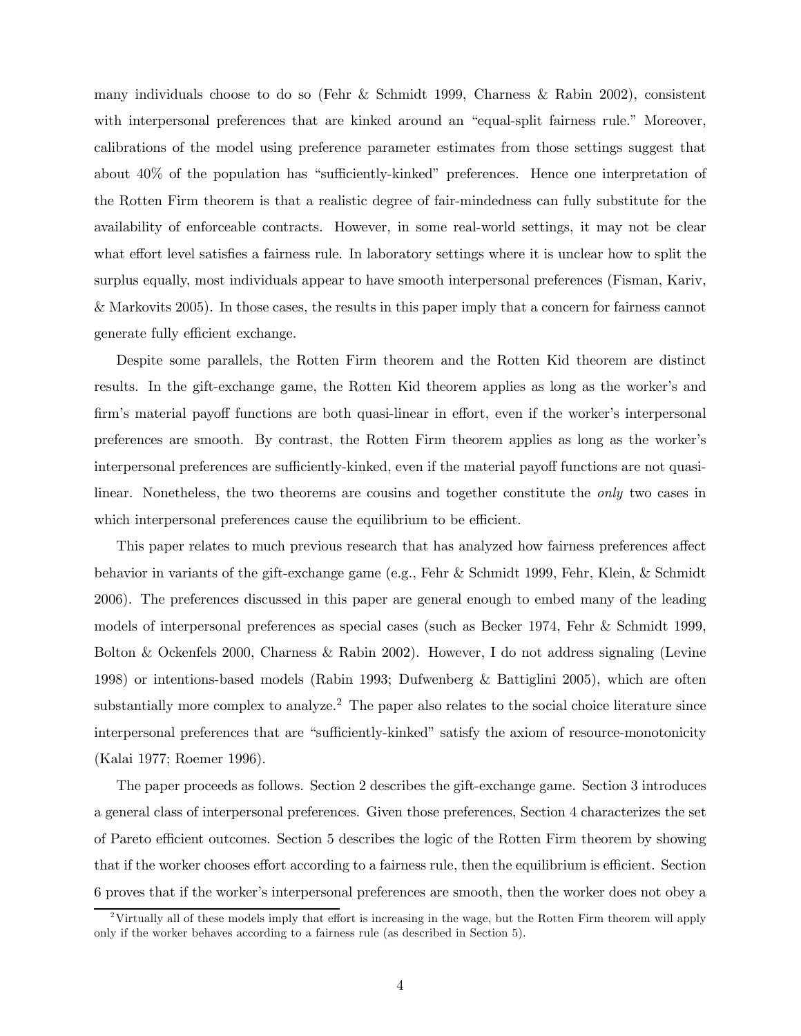many individuals choose to do so (Fehr & Schmidt 1999, Charness & Rabin 2002), consistent with interpersonal preferences that are kinked around an "equal-split fairness rule." Moreover, calibrations of the model using preference parameter estimates from those settings suggest that about 40% of the population has "sufficiently-kinked" preferences. Hence one interpretation of the Rotten Firm theorem is that a realistic degree of fair-mindedness can fully substitute for the availability of enforceable contracts. However, in some real-world settings, it may not be clear what effort level satisfies a fairness rule. In laboratory settings where it is unclear how to split the surplus equally, most individuals appear to have smooth interpersonal preferences (Fisman, Kariv, & Markovits 2005). In those cases, the results in this paper imply that a concern for fairness cannot generate fully efficient exchange.

Despite some parallels, the Rotten Firm theorem and the Rotten Kid theorem are distinct results. In the gift-exchange game, the Rotten Kid theorem applies as long as the worker's and firm's material payoff functions are both quasi-linear in effort, even if the worker's interpersonal preferences are smooth. By contrast, the Rotten Firm theorem applies as long as the worker's interpersonal preferences are sufficiently-kinked, even if the material payoff functions are not quasilinear. Nonetheless, the two theorems are cousins and together constitute the *only* two cases in which interpersonal preferences cause the equilibrium to be efficient.

This paper relates to much previous research that has analyzed how fairness preferences affect behavior in variants of the gift-exchange game (e.g., Fehr & Schmidt 1999, Fehr, Klein, & Schmidt 2006). The preferences discussed in this paper are general enough to embed many of the leading models of interpersonal preferences as special cases (such as Becker 1974, Fehr & Schmidt 1999, Bolton & Ockenfels 2000, Charness & Rabin 2002). However, I do not address signaling (Levine 1998) or intentions-based models (Rabin 1993; Dufwenberg & Battiglini 2005), which are often substantially more complex to analyze.<sup>2</sup> The paper also relates to the social choice literature since interpersonal preferences that are "sufficiently-kinked" satisfy the axiom of resource-monotonicity (Kalai 1977; Roemer 1996).

The paper proceeds as follows. Section 2 describes the gift-exchange game. Section 3 introduces a general class of interpersonal preferences. Given those preferences, Section 4 characterizes the set of Pareto efficient outcomes. Section 5 describes the logic of the Rotten Firm theorem by showing that if the worker chooses effort according to a fairness rule, then the equilibrium is efficient. Section 6 proves that if the worker's interpersonal preferences are smooth, then the worker does not obey a

<sup>&</sup>lt;sup>2</sup>Virtually all of these models imply that effort is increasing in the wage, but the Rotten Firm theorem will apply only if the worker behaves according to a fairness rule (as described in Section 5).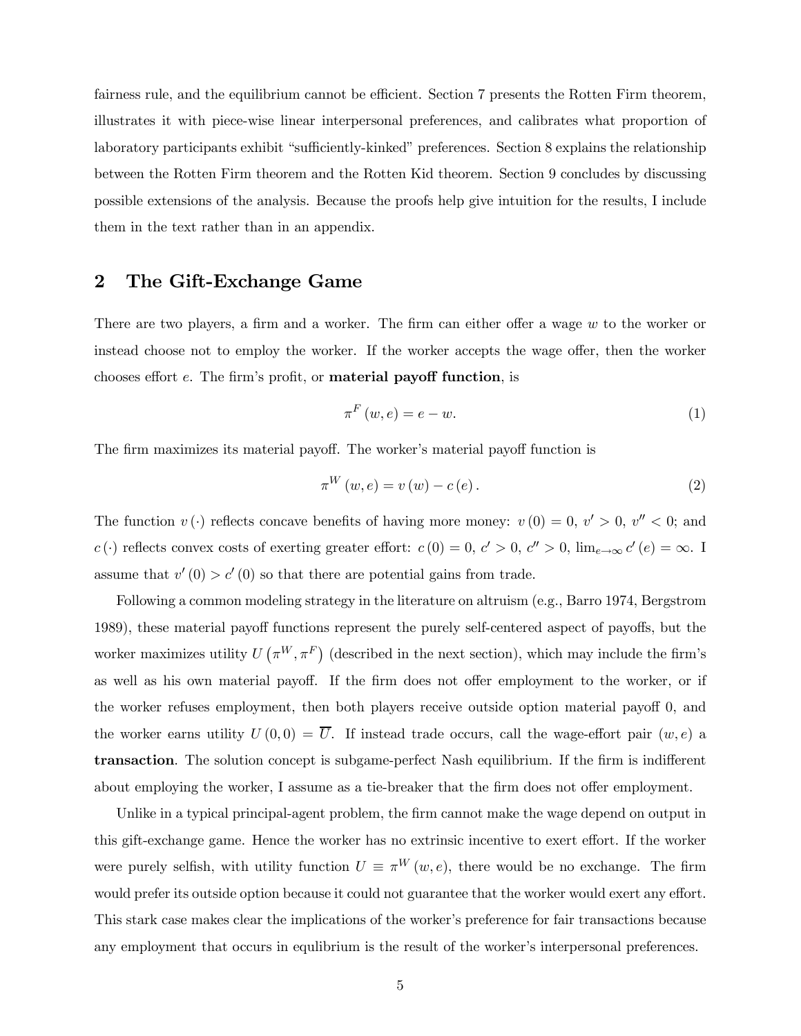fairness rule, and the equilibrium cannot be efficient. Section 7 presents the Rotten Firm theorem, illustrates it with piece-wise linear interpersonal preferences, and calibrates what proportion of laboratory participants exhibit "sufficiently-kinked" preferences. Section 8 explains the relationship between the Rotten Firm theorem and the Rotten Kid theorem. Section 9 concludes by discussing possible extensions of the analysis. Because the proofs help give intuition for the results, I include them in the text rather than in an appendix.

## 2 The Gift-Exchange Game

There are two players, a firm and a worker. The firm can either offer a wage w to the worker or instead choose not to employ the worker. If the worker accepts the wage offer, then the worker chooses effort e. The firm's profit, or material payoff function, is

$$
\pi^{F}(w,e) = e - w.\tag{1}
$$

The firm maximizes its material payoff. The worker's material payoff function is

$$
\pi^{W}(w,e) = v(w) - c(e). \qquad (2)
$$

The function  $v(\cdot)$  reflects concave benefits of having more money:  $v(0) = 0, v' > 0, v'' < 0$ ; and c(·) reflects convex costs of exerting greater effort:  $c(0) = 0, c' > 0, c'' > 0$ ,  $\lim_{e \to \infty} c'(e) = \infty$ . assume that  $v'(0) > c'(0)$  so that there are potential gains from trade.

Following a common modeling strategy in the literature on altruism (e.g., Barro 1974, Bergstrom 1989), these material payoff functions represent the purely self-centered aspect of payoffs, but the worker maximizes utility  $U(\pi^W, \pi^F)$  (described in the next section), which may include the firm's as well as his own material payoff. If the firm does not offer employment to the worker, or if the worker refuses employment, then both players receive outside option material payoff 0, and the worker earns utility  $U(0,0) = \overline{U}$ . If instead trade occurs, call the wage-effort pair  $(w, e)$  a transaction. The solution concept is subgame-perfect Nash equilibrium. If the firm is indifferent about employing the worker, I assume as a tie-breaker that the firm does not offer employment.

Unlike in a typical principal-agent problem, the firm cannot make the wage depend on output in this gift-exchange game. Hence the worker has no extrinsic incentive to exert effort. If the worker were purely selfish, with utility function  $U \equiv \pi^{W}(w, e)$ , there would be no exchange. The firm would prefer its outside option because it could not guarantee that the worker would exert any effort. This stark case makes clear the implications of the worker's preference for fair transactions because any employment that occurs in equlibrium is the result of the worker's interpersonal preferences.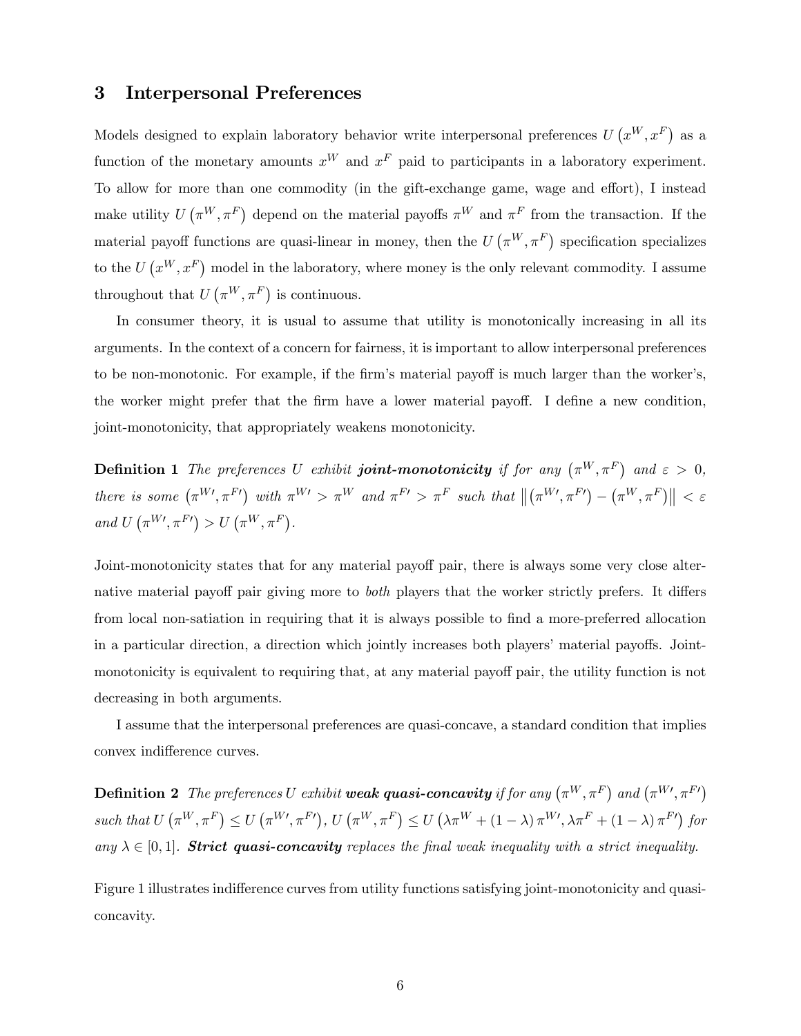## 3 Interpersonal Preferences

Models designed to explain laboratory behavior write interpersonal preferences  $U(x^W, x^F)$  as a function of the monetary amounts  $x^W$  and  $x^F$  paid to participants in a laboratory experiment. To allow for more than one commodity (in the gift-exchange game, wage and effort), I instead make utility  $U(\pi^W, \pi^F)$  depend on the material payoffs  $\pi^W$  and  $\pi^F$  from the transaction. If the material payoff functions are quasi-linear in money, then the  $U(\pi^W, \pi^F)$  specification specializes to the  $U(x^W, x^F)$  model in the laboratory, where money is the only relevant commodity. I assume throughout that  $U(\pi^W, \pi^F)$  is continuous.

In consumer theory, it is usual to assume that utility is monotonically increasing in all its arguments. In the context of a concern for fairness, it is important to allow interpersonal preferences to be non-monotonic. For example, if the firm's material payoff is much larger than the worker's, the worker might prefer that the firm have a lower material payoff. I define a new condition, joint-monotonicity, that appropriately weakens monotonicity.

**Definition 1** The preferences U exhibit **joint-monotonicity** if for any  $(\pi^W, \pi^F)$  and  $\varepsilon > 0$ , there is some  $(\pi^{W}{}', \pi^{F}{}')$  with  $\pi^{W}{}' > \pi^{W}$  and  $\pi^{F}{}' > \pi^{F}$  such that  $\left\|(\pi^{W}{}', \pi^{F}{}') - (\pi^{W}{}', \pi^{F})\right\| < \varepsilon$ and  $U(\pi^{W}, \pi^{F}) > U(\pi^{W}, \pi^{F}).$ 

Joint-monotonicity states that for any material payoff pair, there is always some very close alternative material payoff pair giving more to both players that the worker strictly prefers. It differs from local non-satiation in requiring that it is always possible to find a more-preferred allocation in a particular direction, a direction which jointly increases both players' material payoffs. Jointmonotonicity is equivalent to requiring that, at any material payoff pair, the utility function is not decreasing in both arguments.

I assume that the interpersonal preferences are quasi-concave, a standard condition that implies convex indifference curves.

**Definition 2** The preferences U exhibit **weak quasi-concavity** if for any  $(\pi^W, \pi^F)$  and  $(\pi^{W}, \pi^{F})$ such that  $U(\pi^W, \pi^F) \le U(\pi^{W}, \pi^{F'})$ ,  $U(\pi^W, \pi^F) \le U(\lambda \pi^W + (1 - \lambda) \pi^{W'}, \lambda \pi^F + (1 - \lambda) \pi^{F'})$  for any  $\lambda \in [0,1]$ . **Strict quasi-concavity** replaces the final weak inequality with a strict inequality.

Figure 1 illustrates indifference curves from utility functions satisfying joint-monotonicity and quasiconcavity.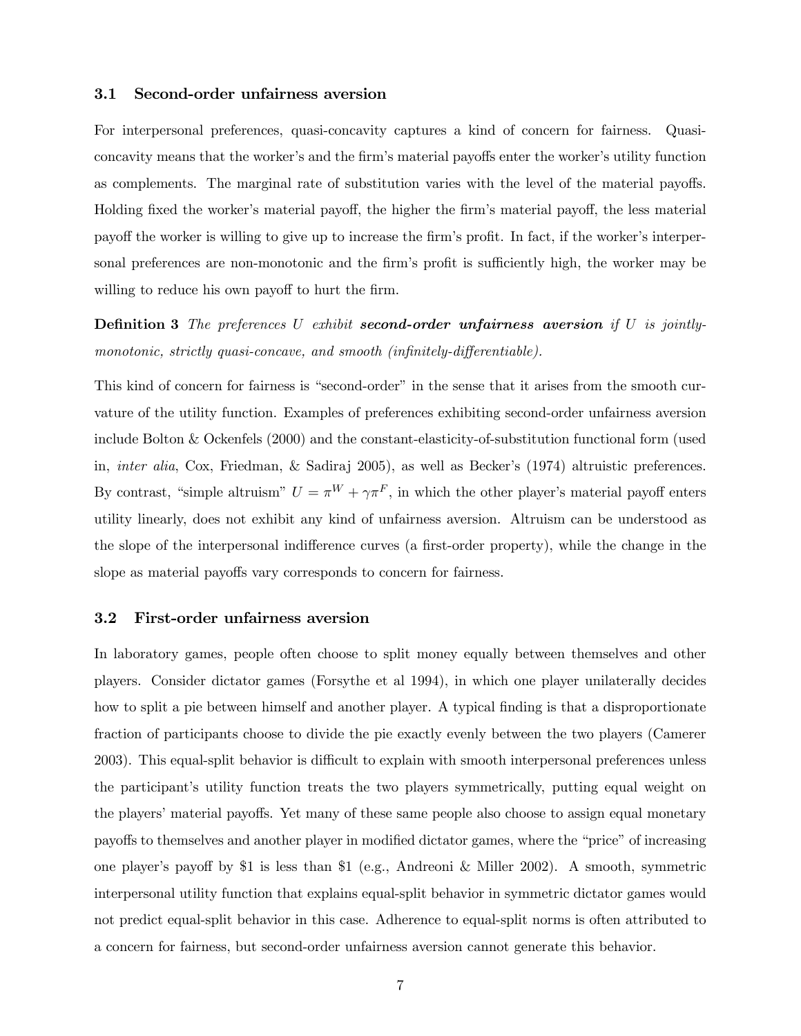### 3.1 Second-order unfairness aversion

For interpersonal preferences, quasi-concavity captures a kind of concern for fairness. Quasiconcavity means that the worker's and the firm's material payoffs enter the worker's utility function as complements. The marginal rate of substitution varies with the level of the material payoffs. Holding fixed the worker's material payoff, the higher the firm's material payoff, the less material payoff the worker is willing to give up to increase the firm's profit. In fact, if the worker's interpersonal preferences are non-monotonic and the firm's profit is sufficiently high, the worker may be willing to reduce his own payoff to hurt the firm.

**Definition 3** The preferences U exhibit second-order unfairness aversion if U is jointlymonotonic, strictly quasi-concave, and smooth (infinitely-differentiable).

This kind of concern for fairness is "second-order" in the sense that it arises from the smooth curvature of the utility function. Examples of preferences exhibiting second-order unfairness aversion include Bolton & Ockenfels (2000) and the constant-elasticity-of-substitution functional form (used in, inter alia, Cox, Friedman, & Sadiraj 2005), as well as Becker's (1974) altruistic preferences. By contrast, "simple altruism"  $U = \pi^W + \gamma \pi^F$ , in which the other player's material payoff enters utility linearly, does not exhibit any kind of unfairness aversion. Altruism can be understood as the slope of the interpersonal indifference curves (a first-order property), while the change in the slope as material payoffs vary corresponds to concern for fairness.

### 3.2 First-order unfairness aversion

In laboratory games, people often choose to split money equally between themselves and other players. Consider dictator games (Forsythe et al 1994), in which one player unilaterally decides how to split a pie between himself and another player. A typical finding is that a disproportionate fraction of participants choose to divide the pie exactly evenly between the two players (Camerer 2003). This equal-split behavior is difficult to explain with smooth interpersonal preferences unless the participant's utility function treats the two players symmetrically, putting equal weight on the players' material payoffs. Yet many of these same people also choose to assign equal monetary payoffs to themselves and another player in modified dictator games, where the "price" of increasing one player's payoff by \$1 is less than \$1 (e.g., Andreoni & Miller 2002). A smooth, symmetric interpersonal utility function that explains equal-split behavior in symmetric dictator games would not predict equal-split behavior in this case. Adherence to equal-split norms is often attributed to a concern for fairness, but second-order unfairness aversion cannot generate this behavior.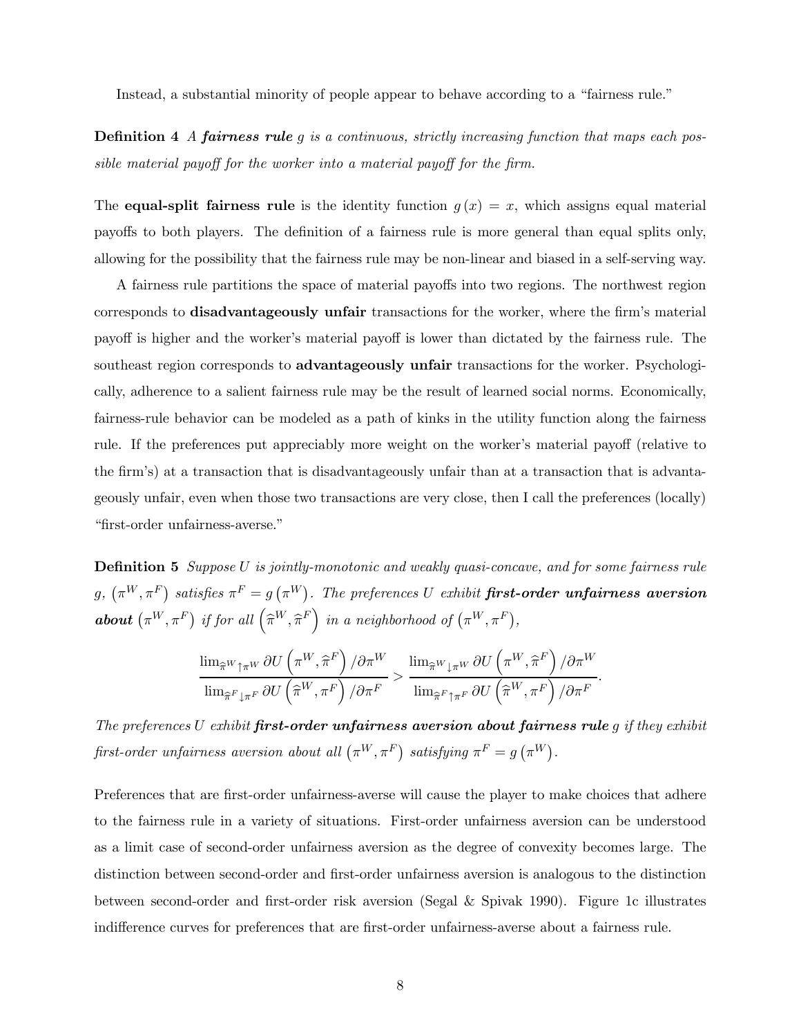Instead, a substantial minority of people appear to behave according to a "fairness rule."

**Definition 4** A **fairness rule** g is a continuous, strictly increasing function that maps each possible material payoff for the worker into a material payoff for the firm.

The **equal-split fairness rule** is the identity function  $g(x) = x$ , which assigns equal material payoffs to both players. The definition of a fairness rule is more general than equal splits only, allowing for the possibility that the fairness rule may be non-linear and biased in a self-serving way.

A fairness rule partitions the space of material payoffs into two regions. The northwest region corresponds to disadvantageously unfair transactions for the worker, where the firm's material payoff is higher and the worker's material payoff is lower than dictated by the fairness rule. The southeast region corresponds to **advantageously unfair** transactions for the worker. Psychologically, adherence to a salient fairness rule may be the result of learned social norms. Economically, fairness-rule behavior can be modeled as a path of kinks in the utility function along the fairness rule. If the preferences put appreciably more weight on the worker's material payoff (relative to the firm's) at a transaction that is disadvantageously unfair than at a transaction that is advantageously unfair, even when those two transactions are very close, then I call the preferences (locally) "first-order unfairness-averse."

**Definition 5** Suppose U is jointly-monotonic and weakly quasi-concave, and for some fairness rule  $g, \ (\pi^W, \pi^F)$  satisfies  $\pi^F = g \ (\pi^W)$ . The preferences U exhibit **first-order unfairness aversion about**  $(\pi^W, \pi^F)$  if for all  $(\hat{\pi}^W, \hat{\pi}^F)$  in a neighborhood of  $(\pi^W, \pi^F)$ ,

$$
\frac{\lim_{\widehat{\pi}^W\uparrow \pi^W}\partial U\left(\pi^W,\widehat{\pi}^F\right)/\partial \pi^W}{\lim_{\widehat{\pi}^F\downarrow \pi^F}\partial U\left(\widehat{\pi}^W,\pi^F\right)/\partial \pi^F} > \frac{\lim_{\widehat{\pi}^W\downarrow \pi^W}\partial U\left(\pi^W,\widehat{\pi}^F\right)/\partial \pi^W}{\lim_{\widehat{\pi}^F\uparrow \pi^F}\partial U\left(\widehat{\pi}^W,\pi^F\right)/\partial \pi^F}.
$$

The preferences U exhibit first-order unfairness aversion about fairness rule  $q$  if they exhibit first-order unfairness aversion about all  $(\pi^W, \pi^F)$  satisfying  $\pi^F = g(\pi^W)$ .

Preferences that are first-order unfairness-averse will cause the player to make choices that adhere to the fairness rule in a variety of situations. First-order unfairness aversion can be understood as a limit case of second-order unfairness aversion as the degree of convexity becomes large. The distinction between second-order and first-order unfairness aversion is analogous to the distinction between second-order and first-order risk aversion (Segal & Spivak 1990). Figure 1c illustrates indifference curves for preferences that are first-order unfairness-averse about a fairness rule.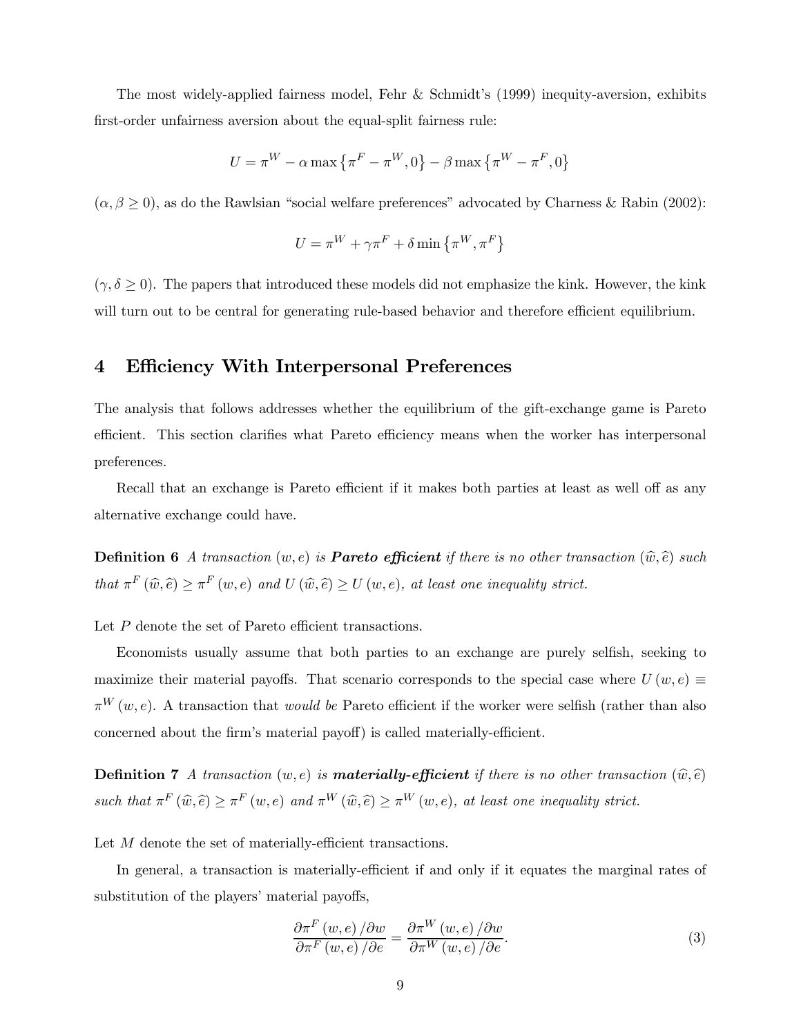The most widely-applied fairness model, Fehr & Schmidt's (1999) inequity-aversion, exhibits first-order unfairness aversion about the equal-split fairness rule:

$$
U=\pi^{W}-\alpha \max\left\{ \pi^{F}-\pi^{W},0\right\} -\beta \max\left\{ \pi^{W}-\pi^{F},0\right\}
$$

 $(\alpha, \beta \ge 0)$ , as do the Rawlsian "social welfare preferences" advocated by Charness & Rabin (2002):

$$
U = \pi^{W} + \gamma \pi^{F} + \delta \min \left\{ \pi^{W}, \pi^{F} \right\}
$$

 $(\gamma, \delta \ge 0)$ . The papers that introduced these models did not emphasize the kink. However, the kink will turn out to be central for generating rule-based behavior and therefore efficient equilibrium.

### 4 Efficiency With Interpersonal Preferences

The analysis that follows addresses whether the equilibrium of the gift-exchange game is Pareto efficient. This section clarifies what Pareto efficiency means when the worker has interpersonal preferences.

Recall that an exchange is Pareto efficient if it makes both parties at least as well off as any alternative exchange could have.

**Definition 6** A transaction  $(w, e)$  is **Pareto efficient** if there is no other transaction  $(\widehat{w}, \widehat{e})$  such that  $\pi^F(\widehat{w}, \widehat{e}) \geq \pi^F(w, e)$  and  $U(\widehat{w}, \widehat{e}) \geq U(w, e)$ , at least one inequality strict.

Let P denote the set of Pareto efficient transactions.

Economists usually assume that both parties to an exchange are purely selfish, seeking to maximize their material payoffs. That scenario corresponds to the special case where  $U(w, e) \equiv$  $\pi^{W}(w, e)$ . A transaction that *would be* Pareto efficient if the worker were selfish (rather than also concerned about the firm's material payoff) is called materially-efficient.

**Definition 7** A transaction  $(w, e)$  is **materially-efficient** if there is no other transaction  $(\hat{w}, \hat{e})$ such that  $\pi^F(\widehat{w}, \widehat{e}) \geq \pi^F(w, e)$  and  $\pi^W(\widehat{w}, \widehat{e}) \geq \pi^W(w, e)$ , at least one inequality strict.

Let M denote the set of materially-efficient transactions.

In general, a transaction is materially-efficient if and only if it equates the marginal rates of substitution of the players' material payoffs,

$$
\frac{\partial \pi^F(w, e)}{\partial \pi^F(w, e)} / \partial w = \frac{\partial \pi^W(w, e)}{\partial \pi^W(w, e)} / \partial w.
$$
\n(3)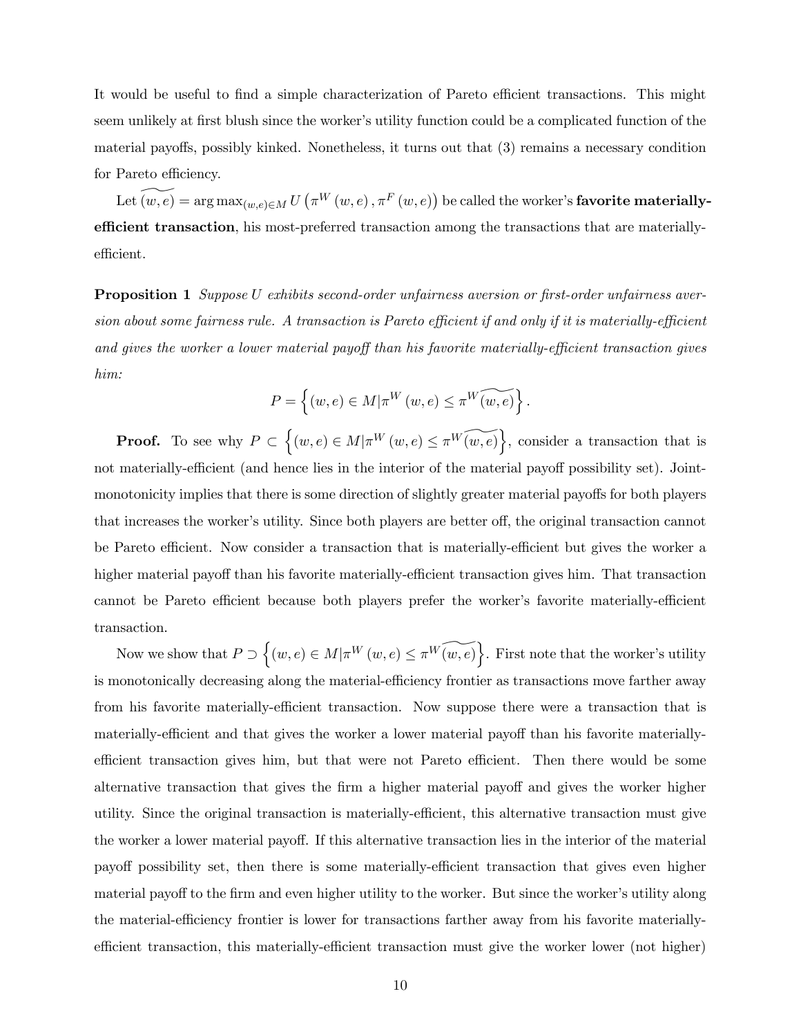It would be useful to find a simple characterization of Pareto efficient transactions. This might seem unlikely at first blush since the worker's utility function could be a complicated function of the material payoffs, possibly kinked. Nonetheless, it turns out that (3) remains a necessary condition for Pareto efficiency.

 $\text{Let}~(w,e) = \arg\max_{(w,e) \in M} U\left(\pi^W\left(w,e\right), \pi^F\left(w,e\right)\right) \text{ be called the worker's } \textbf{favorite materially-}$ efficient transaction, his most-preferred transaction among the transactions that are materiallyefficient.

Proposition 1 Suppose U exhibits second-order unfairness aversion or first-order unfairness aversion about some fairness rule. A transaction is Pareto efficient if and only if it is materially-efficient and gives the worker a lower material payoff than his favorite materially-efficient transaction gives him:

$$
P = \left\{ (w, e) \in M | \pi^W(w, e) \le \pi^W(\widetilde{(w, e)} \right\}.
$$

**Proof.** To see why  $P \subset \{(w, e) \in M | \pi^W(w, e) \leq \pi^W(\widetilde{w, e})\}$ , consider a transaction that is not materially-efficient (and hence lies in the interior of the material payoff possibility set). Jointmonotonicity implies that there is some direction of slightly greater material payoffs for both players that increases the worker's utility. Since both players are better off, the original transaction cannot be Pareto efficient. Now consider a transaction that is materially-efficient but gives the worker a higher material payoff than his favorite materially-efficient transaction gives him. That transaction cannot be Pareto efficient because both players prefer the worker's favorite materially-efficient transaction.

Now we show that  $P \supset \{(w, e) \in M | \pi^W(w, e) \leq \pi^W(\widetilde{w, e})\}$ . First note that the worker's utility is monotonically decreasing along the material-efficiency frontier as transactions move farther away from his favorite materially-efficient transaction. Now suppose there were a transaction that is materially-efficient and that gives the worker a lower material payoff than his favorite materiallyefficient transaction gives him, but that were not Pareto efficient. Then there would be some alternative transaction that gives the firm a higher material payoff and gives the worker higher utility. Since the original transaction is materially-efficient, this alternative transaction must give the worker a lower material payoff. If this alternative transaction lies in the interior of the material payoff possibility set, then there is some materially-efficient transaction that gives even higher material payoff to the firm and even higher utility to the worker. But since the worker's utility along the material-efficiency frontier is lower for transactions farther away from his favorite materiallyefficient transaction, this materially-efficient transaction must give the worker lower (not higher)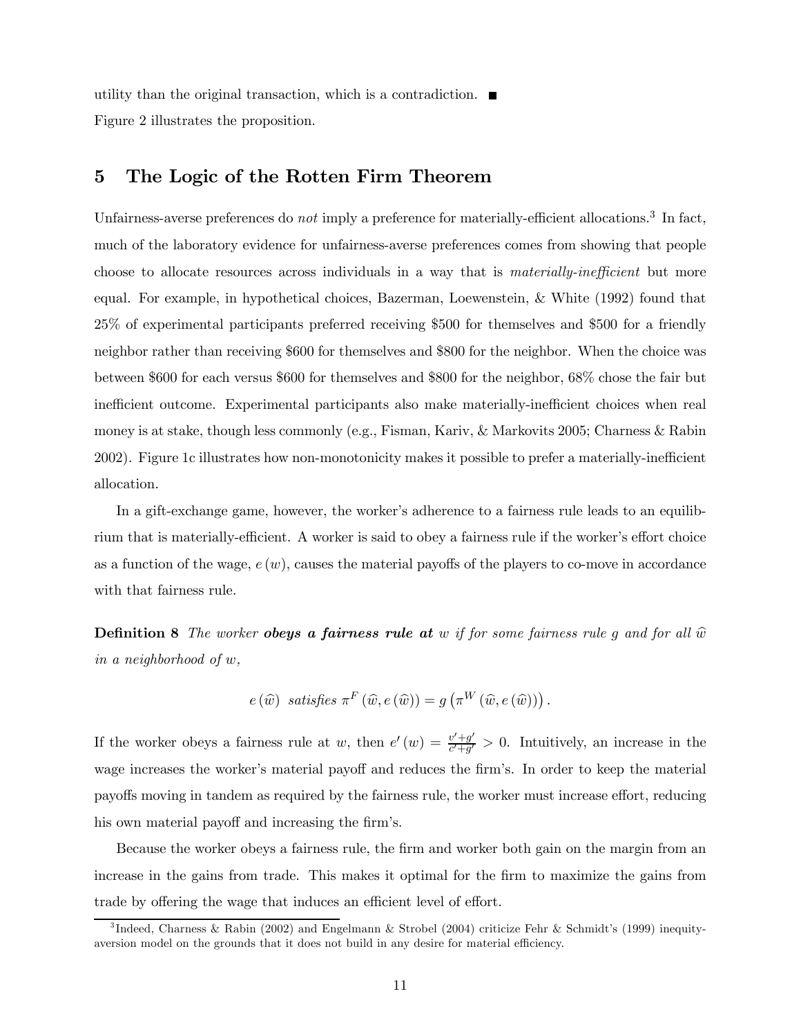utility than the original transaction, which is a contradiction. Figure 2 illustrates the proposition.

## 5 The Logic of the Rotten Firm Theorem

Unfairness-averse preferences do not imply a preference for materially-efficient allocations.<sup>3</sup> In fact, much of the laboratory evidence for unfairness-averse preferences comes from showing that people choose to allocate resources across individuals in a way that is *materially-inefficient* but more equal. For example, in hypothetical choices, Bazerman, Loewenstein, & White (1992) found that 25% of experimental participants preferred receiving \$500 for themselves and \$500 for a friendly neighbor rather than receiving \$600 for themselves and \$800 for the neighbor. When the choice was between \$600 for each versus \$600 for themselves and \$800 for the neighbor, 68% chose the fair but inefficient outcome. Experimental participants also make materially-inefficient choices when real money is at stake, though less commonly (e.g., Fisman, Kariv, & Markovits 2005; Charness & Rabin 2002). Figure 1c illustrates how non-monotonicity makes it possible to prefer a materially-inefficient allocation.

In a gift-exchange game, however, the worker's adherence to a fairness rule leads to an equilibrium that is materially-efficient. A worker is said to obey a fairness rule if the worker's effort choice as a function of the wage,  $e(w)$ , causes the material payoffs of the players to co-move in accordance with that fairness rule.

**Definition 8** The worker **obeys a fairness rule at** w if for some fairness rule g and for all  $\hat{w}$ in a neighborhood of w,

$$
e(\widehat{w}) \ \ satisfies \ \pi^F(\widehat{w}, e(\widehat{w})) = g(\pi^W(\widehat{w}, e(\widehat{w})))
$$

If the worker obeys a fairness rule at w, then  $e'(w) = \frac{v' + g'}{c' + g'} > 0$ . Intuitively, an increase in the wage increases the worker's material payoff and reduces the firm's. In order to keep the material payoffs moving in tandem as required by the fairness rule, the worker must increase effort, reducing his own material payoff and increasing the firm's.

Because the worker obeys a fairness rule, the firm and worker both gain on the margin from an increase in the gains from trade. This makes it optimal for the firm to maximize the gains from trade by offering the wage that induces an efficient level of effort.

<sup>3</sup> Indeed, Charness & Rabin (2002) and Engelmann & Strobel (2004) criticize Fehr & Schmidt's (1999) inequityaversion model on the grounds that it does not build in any desire for material efficiency.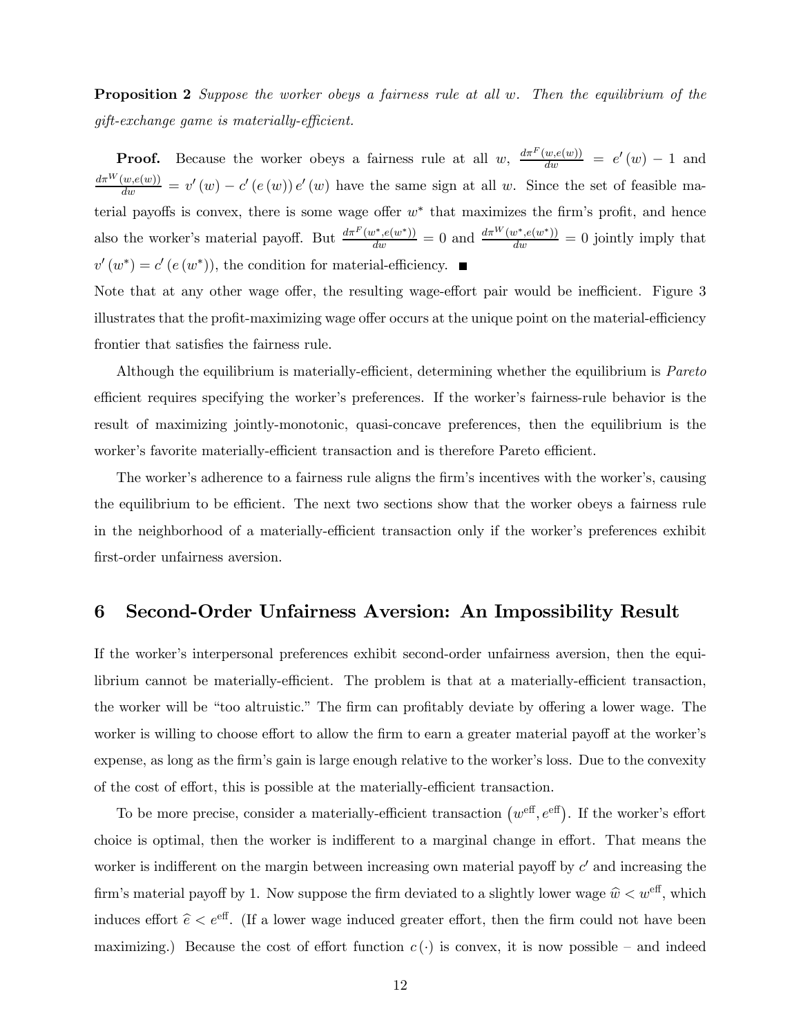**Proposition 2** Suppose the worker obeys a fairness rule at all w. Then the equilibrium of the gift-exchange game is materially-efficient.

**Proof.** Because the worker obeys a fairness rule at all w,  $\frac{d\pi^F(w,e(w))}{dw} = e'(w) - 1$  and  $\frac{d\pi^W(w,e(w))}{dw} = v'(w) - c'(e(w))e'(w)$  have the same sign at all w. Since the set of feasible material payoffs is convex, there is some wage offer  $w^*$  that maximizes the firm's profit, and hence also the worker's material payoff. But  $\frac{d\pi^F(w^*,e(w^*))}{dw} = 0$  and  $\frac{d\pi^W(w^*,e(w^*))}{dw} = 0$  jointly imply that  $v'(w^*) = c'(e(w^*))$ , the condition for material-efficiency.  $\blacksquare$ 

Note that at any other wage offer, the resulting wage-effort pair would be inefficient. Figure 3 illustrates that the profit-maximizing wage offer occurs at the unique point on the material-efficiency frontier that satisfies the fairness rule.

Although the equilibrium is materially-efficient, determining whether the equilibrium is Pareto efficient requires specifying the worker's preferences. If the worker's fairness-rule behavior is the result of maximizing jointly-monotonic, quasi-concave preferences, then the equilibrium is the worker's favorite materially-efficient transaction and is therefore Pareto efficient.

The worker's adherence to a fairness rule aligns the firm's incentives with the worker's, causing the equilibrium to be efficient. The next two sections show that the worker obeys a fairness rule in the neighborhood of a materially-efficient transaction only if the worker's preferences exhibit first-order unfairness aversion.

### 6 Second-Order Unfairness Aversion: An Impossibility Result

If the worker's interpersonal preferences exhibit second-order unfairness aversion, then the equilibrium cannot be materially-efficient. The problem is that at a materially-efficient transaction, the worker will be "too altruistic." The firm can profitably deviate by offering a lower wage. The worker is willing to choose effort to allow the firm to earn a greater material payoff at the worker's expense, as long as the firm's gain is large enough relative to the worker's loss. Due to the convexity of the cost of effort, this is possible at the materially-efficient transaction.

To be more precise, consider a materially-efficient transaction  $(w^{\text{eff}}, e^{\text{eff}})$ . If the worker's effort choice is optimal, then the worker is indifferent to a marginal change in effort. That means the worker is indifferent on the margin between increasing own material payoff by  $c'$  and increasing the firm's material payoff by 1. Now suppose the firm deviated to a slightly lower wage  $\hat{w} \lt w^{\text{eff}}$ , which induces effort  $\hat{e} < e^{\text{eff}}$ . (If a lower wage induced greater effort, then the firm could not have been maximizing.) Because the cost of effort function  $c(\cdot)$  is convex, it is now possible – and indeed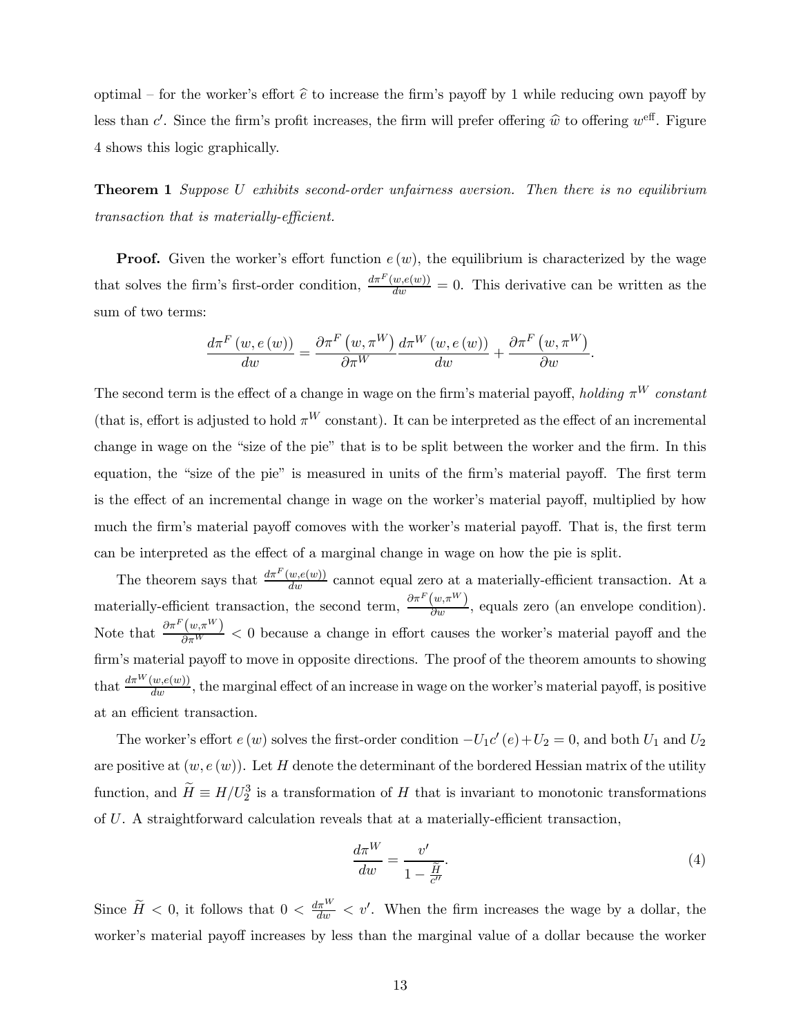optimal – for the worker's effort  $\hat{e}$  to increase the firm's payoff by 1 while reducing own payoff by less than c'. Since the firm's profit increases, the firm will prefer offering  $\hat{w}$  to offering  $w^{\text{eff}}$ . Figure 4 shows this logic graphically.

**Theorem 1** Suppose U exhibits second-order unfairness aversion. Then there is no equilibrium transaction that is materially-efficient.

**Proof.** Given the worker's effort function  $e(w)$ , the equilibrium is characterized by the wage that solves the firm's first-order condition,  $\frac{d\pi^F(w,e(w))}{dw} = 0$ . This derivative can be written as the sum of two terms:

$$
\frac{d\pi^F(w, e(w))}{dw} = \frac{\partial \pi^F(w, \pi^W)}{\partial \pi^W} \frac{d\pi^W(w, e(w))}{dw} + \frac{\partial \pi^F(w, \pi^W)}{\partial w}.
$$

The second term is the effect of a change in wage on the firm's material payoff, holding  $\pi^{W}$  constant (that is, effort is adjusted to hold  $\pi^{W}$  constant). It can be interpreted as the effect of an incremental change in wage on the "size of the pie" that is to be split between the worker and the firm. In this equation, the "size of the pie" is measured in units of the firm's material payoff. The first term is the effect of an incremental change in wage on the worker's material payoff, multiplied by how much the firm's material payoff comoves with the worker's material payoff. That is, the first term can be interpreted as the effect of a marginal change in wage on how the pie is split.

The theorem says that  $\frac{d\pi F(w,e(w))}{dw}$  cannot equal zero at a materially-efficient transaction. At a materially-efficient transaction, the second term,  $\frac{\partial \pi^F(w,\pi^W)}{\partial w}$ , equals zero (an envelope condition). Note that  $\frac{\partial \pi^F(w,\pi^W)}{\partial \pi^W}$  < 0 because a change in effort causes the worker's material payoff and the firm's material payoff to move in opposite directions. The proof of the theorem amounts to showing that  $\frac{d\pi^W(w,e(w))}{dw}$ , the marginal effect of an increase in wage on the worker's material payoff, is positive at an efficient transaction.

The worker's effort  $e(w)$  solves the first-order condition  $-U_1c'(e)+U_2=0$ , and both  $U_1$  and  $U_2$ are positive at  $(w, e(w))$ . Let H denote the determinant of the bordered Hessian matrix of the utility function, and  $\widetilde{H} \equiv H/U_2^3$  is a transformation of H that is invariant to monotonic transformations of U. A straightforward calculation reveals that at a materially-efficient transaction,

$$
\frac{d\pi^W}{dw} = \frac{v'}{1 - \frac{\widetilde{H}}{c''}}.\tag{4}
$$

Since  $\widetilde{H} < 0$ , it follows that  $0 < \frac{d\pi^{W}}{dw} < v'$ . When the firm increases the wage by a dollar, the worker's material payoff increases by less than the marginal value of a dollar because the worker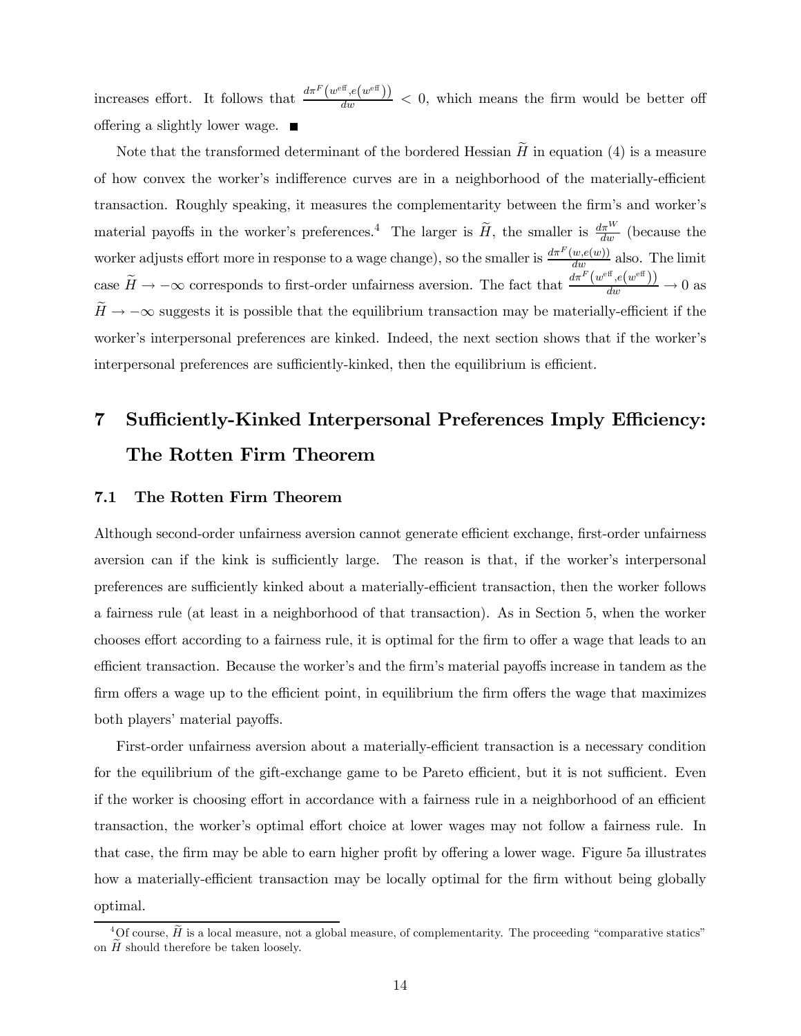increases effort. It follows that  $\frac{d\pi^F(w^{\text{eff}},e(w^{\text{eff}}))}{dw} < 0$ , which means the firm would be better off offering a slightly lower wage.  $\blacksquare$ 

Note that the transformed determinant of the bordered Hessian  $H$  in equation (4) is a measure of how convex the worker's indifference curves are in a neighborhood of the materially-efficient transaction. Roughly speaking, it measures the complementarity between the firm's and worker's material payoffs in the worker's preferences.<sup>4</sup> The larger is  $\tilde{H}$ , the smaller is  $\frac{d\pi^{W}}{dw}$  (because the worker adjusts effort more in response to a wage change), so the smaller is  $\frac{d\pi^F(w,e(w))}{dw}$  also. The limit case  $\widetilde{H} \to -\infty$  corresponds to first-order unfairness aversion. The fact that  $\frac{d\pi^F(w^{\text{eff}}, e(w^{\text{eff}}))}{dw} \to 0$  as  $\widetilde{H} \to -\infty$  suggests it is possible that the equilibrium transaction may be materially-efficient if the worker's interpersonal preferences are kinked. Indeed, the next section shows that if the worker's interpersonal preferences are sufficiently-kinked, then the equilibrium is efficient.

# 7 Sufficiently-Kinked Interpersonal Preferences Imply Efficiency: The Rotten Firm Theorem

### 7.1 The Rotten Firm Theorem

Although second-order unfairness aversion cannot generate efficient exchange, first-order unfairness aversion can if the kink is sufficiently large. The reason is that, if the worker's interpersonal preferences are sufficiently kinked about a materially-efficient transaction, then the worker follows a fairness rule (at least in a neighborhood of that transaction). As in Section 5, when the worker chooses effort according to a fairness rule, it is optimal for the firm to offer a wage that leads to an efficient transaction. Because the worker's and the firm's material payoffs increase in tandem as the firm offers a wage up to the efficient point, in equilibrium the firm offers the wage that maximizes both players' material payoffs.

First-order unfairness aversion about a materially-efficient transaction is a necessary condition for the equilibrium of the gift-exchange game to be Pareto efficient, but it is not sufficient. Even if the worker is choosing effort in accordance with a fairness rule in a neighborhood of an efficient transaction, the worker's optimal effort choice at lower wages may not follow a fairness rule. In that case, the firm may be able to earn higher profit by offering a lower wage. Figure 5a illustrates how a materially-efficient transaction may be locally optimal for the firm without being globally optimal.

 ${}^{4}$ Of course,  $\tilde{H}$  is a local measure, not a global measure, of complementarity. The proceeding "comparative statics" on  $H$  should therefore be taken loosely.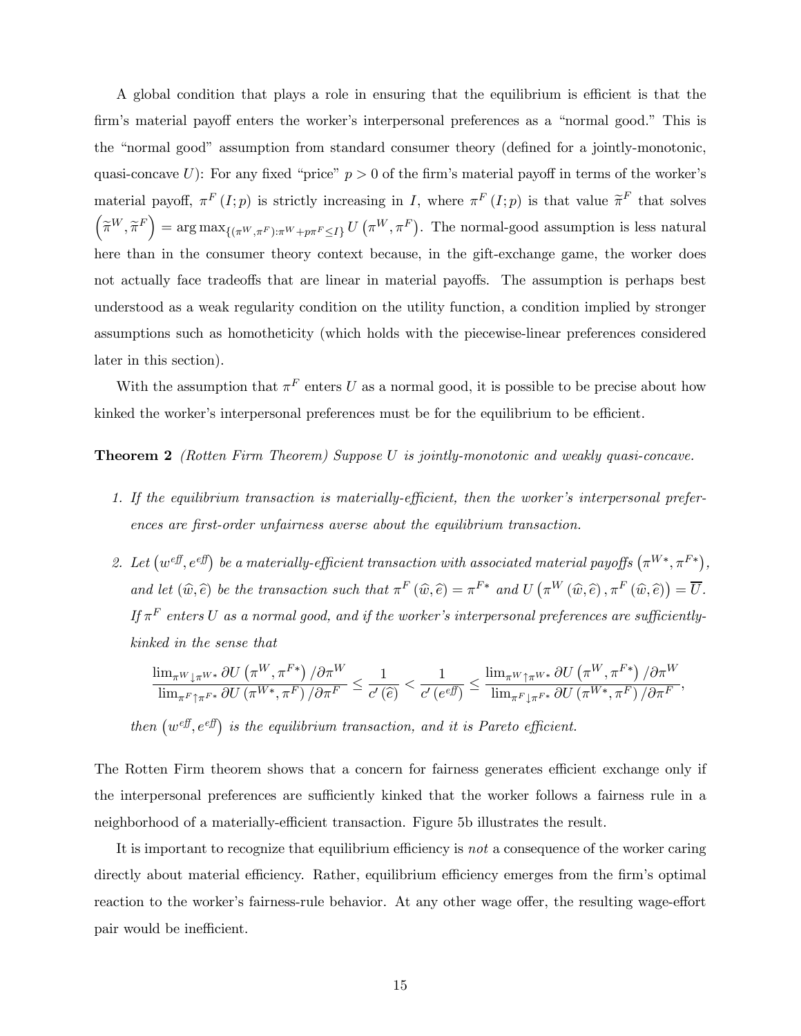A global condition that plays a role in ensuring that the equilibrium is efficient is that the firm's material payoff enters the worker's interpersonal preferences as a "normal good." This is the "normal good" assumption from standard consumer theory (defined for a jointly-monotonic, quasi-concave U): For any fixed "price"  $p > 0$  of the firm's material payoff in terms of the worker's material payoff,  $\pi^F(I;p)$  is strictly increasing in I, where  $\pi^F(I;p)$  is that value  $\widetilde{\pi}^F$  that solves  $\left(\widetilde{\pi}^W, \widetilde{\pi}^F\right) = \arg \max_{\left\{(\pi^W, \pi^F): \pi^W + p\pi^F \leq I\right\}} U\left(\pi^W, \pi^F\right)$ . The normal-good assumption is less natural here than in the consumer theory context because, in the gift-exchange game, the worker does not actually face tradeoffs that are linear in material payoffs. The assumption is perhaps best understood as a weak regularity condition on the utility function, a condition implied by stronger assumptions such as homotheticity (which holds with the piecewise-linear preferences considered later in this section).

With the assumption that  $\pi^F$  enters U as a normal good, it is possible to be precise about how kinked the worker's interpersonal preferences must be for the equilibrium to be efficient.

Theorem 2 (Rotten Firm Theorem) Suppose U is jointly-monotonic and weakly quasi-concave.

- 1. If the equilibrium transaction is materially-efficient, then the worker's interpersonal preferences are first-order unfairness averse about the equilibrium transaction.
- 2. Let  $(w^{eff}, e^{eff})$  be a materially-efficient transaction with associated material payoffs  $(\pi^{W*}, \pi^{F*})$ , and let  $(\widehat{w}, \widehat{e})$  be the transaction such that  $\pi^F(\widehat{w}, \widehat{e}) = \pi^{F*}$  and  $U(\pi^W(\widehat{w}, \widehat{e}), \pi^F(\widehat{w}, \widehat{e})) = \overline{U}$ . If  $\pi^F$  enters U as a normal good, and if the worker's interpersonal preferences are sufficientlykinked in the sense that

$$
\frac{\lim_{\pi^W\downarrow \pi^{W*}} \partial U\left(\pi^W, \pi^{F*}\right)/\partial \pi^W}{\lim_{\pi^F\uparrow \pi^{F*}} \partial U\left(\pi^{W*}, \pi^F\right)/\partial \pi^F} \le \frac{1}{c'\left(\widehat{e}\right)} < \frac{1}{c'\left(e^{ef\overline{f}}\right)} \le \frac{\lim_{\pi^W\uparrow \pi^{W*}} \partial U\left(\pi^W, \pi^{F*}\right)/\partial \pi^W}{\lim_{\pi^F\downarrow \pi^{F*}} \partial U\left(\pi^{W*}, \pi^F\right)/\partial \pi^F},
$$

then  $(w^{eff}, e^{eff})$  is the equilibrium transaction, and it is Pareto efficient.

The Rotten Firm theorem shows that a concern for fairness generates efficient exchange only if the interpersonal preferences are sufficiently kinked that the worker follows a fairness rule in a neighborhood of a materially-efficient transaction. Figure 5b illustrates the result.

It is important to recognize that equilibrium efficiency is not a consequence of the worker caring directly about material efficiency. Rather, equilibrium efficiency emerges from the firm's optimal reaction to the worker's fairness-rule behavior. At any other wage offer, the resulting wage-effort pair would be inefficient.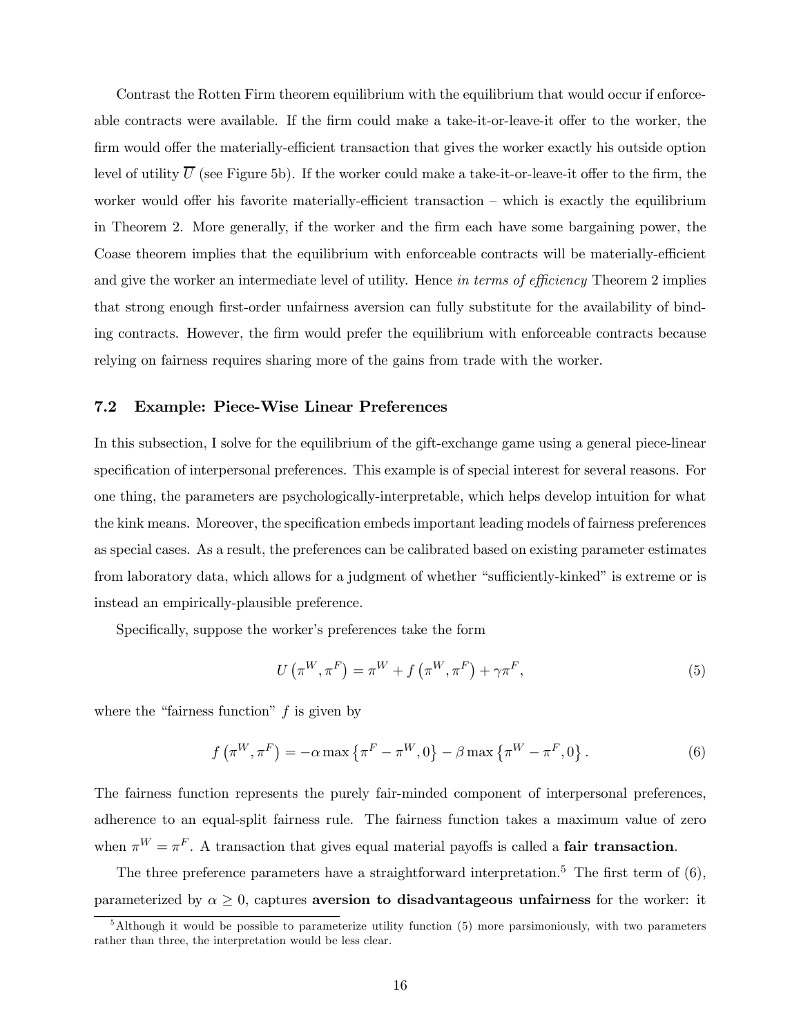Contrast the Rotten Firm theorem equilibrium with the equilibrium that would occur if enforceable contracts were available. If the firm could make a take-it-or-leave-it offer to the worker, the firm would offer the materially-efficient transaction that gives the worker exactly his outside option level of utility  $\overline{U}$  (see Figure 5b). If the worker could make a take-it-or-leave-it offer to the firm, the worker would offer his favorite materially-efficient transaction – which is exactly the equilibrium in Theorem 2. More generally, if the worker and the firm each have some bargaining power, the Coase theorem implies that the equilibrium with enforceable contracts will be materially-efficient and give the worker an intermediate level of utility. Hence in terms of efficiency Theorem 2 implies that strong enough first-order unfairness aversion can fully substitute for the availability of binding contracts. However, the firm would prefer the equilibrium with enforceable contracts because relying on fairness requires sharing more of the gains from trade with the worker.

### 7.2 Example: Piece-Wise Linear Preferences

In this subsection, I solve for the equilibrium of the gift-exchange game using a general piece-linear specification of interpersonal preferences. This example is of special interest for several reasons. For one thing, the parameters are psychologically-interpretable, which helps develop intuition for what the kink means. Moreover, the specification embeds important leading models of fairness preferences as special cases. As a result, the preferences can be calibrated based on existing parameter estimates from laboratory data, which allows for a judgment of whether "sufficiently-kinked" is extreme or is instead an empirically-plausible preference.

Specifically, suppose the worker's preferences take the form

$$
U\left(\pi^{W}, \pi^{F}\right) = \pi^{W} + f\left(\pi^{W}, \pi^{F}\right) + \gamma \pi^{F},\tag{5}
$$

where the "fairness function"  $f$  is given by

$$
f\left(\pi^{W}, \pi^{F}\right) = -\alpha \max\left\{\pi^{F} - \pi^{W}, 0\right\} - \beta \max\left\{\pi^{W} - \pi^{F}, 0\right\}.
$$
 (6)

The fairness function represents the purely fair-minded component of interpersonal preferences, adherence to an equal-split fairness rule. The fairness function takes a maximum value of zero when  $\pi^{W} = \pi^{F}$ . A transaction that gives equal material payoffs is called a **fair transaction**.

The three preference parameters have a straightforward interpretation.<sup>5</sup> The first term of  $(6)$ , parameterized by  $\alpha \geq 0$ , captures aversion to disadvantageous unfairness for the worker: it

 $5$ Although it would be possible to parameterize utility function (5) more parsimoniously, with two parameters rather than three, the interpretation would be less clear.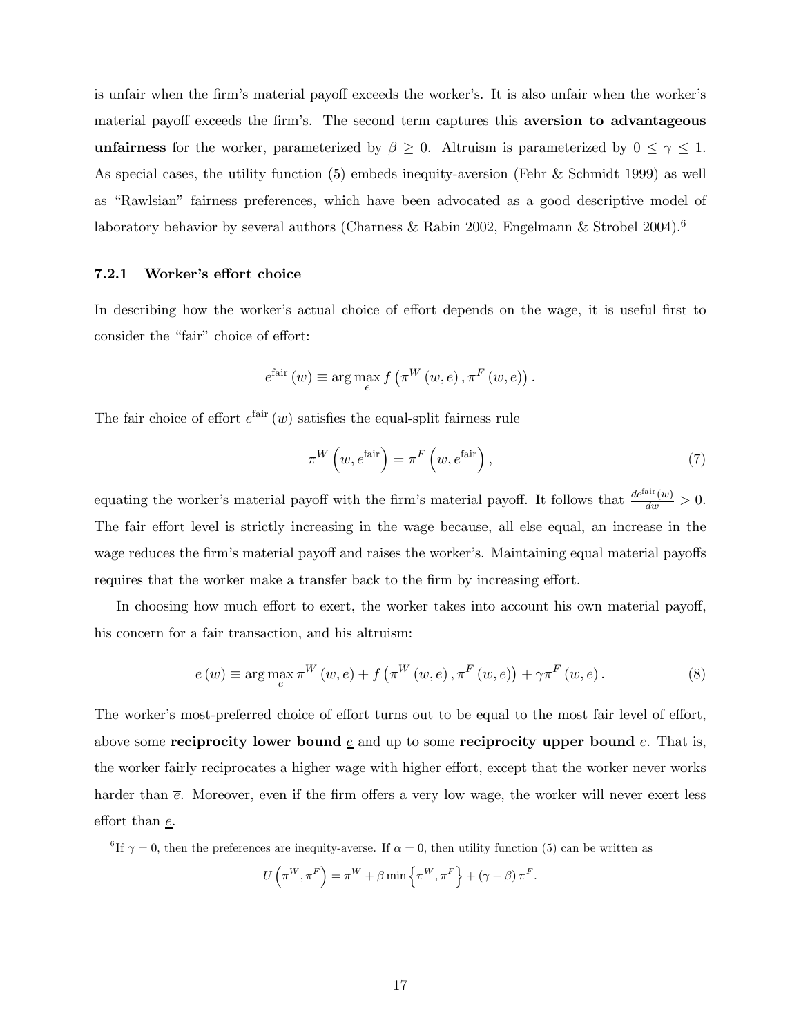is unfair when the firm's material payoff exceeds the worker's. It is also unfair when the worker's material payoff exceeds the firm's. The second term captures this **aversion to advantageous unfairness** for the worker, parameterized by  $\beta \geq 0$ . Altruism is parameterized by  $0 \leq \gamma \leq 1$ . As special cases, the utility function (5) embeds inequity-aversion (Fehr & Schmidt 1999) as well as "Rawlsian" fairness preferences, which have been advocated as a good descriptive model of laboratory behavior by several authors (Charness & Rabin 2002, Engelmann & Strobel 2004).<sup>6</sup>

### 7.2.1 Worker's effort choice

In describing how the worker's actual choice of effort depends on the wage, it is useful first to consider the "fair" choice of effort:

$$
e^{\text{fair}}(w) \equiv \arg\max_{e} f\left(\pi^W(w, e), \pi^F(w, e)\right).
$$

The fair choice of effort  $e^{i\text{air}}(w)$  satisfies the equal-split fairness rule

$$
\pi^{W}\left(w, e^{\text{fair}}\right) = \pi^{F}\left(w, e^{\text{fair}}\right),\tag{7}
$$

equating the worker's material payoff with the firm's material payoff. It follows that  $\frac{de^{fair}(w)}{dw} > 0$ . The fair effort level is strictly increasing in the wage because, all else equal, an increase in the wage reduces the firm's material payoff and raises the worker's. Maintaining equal material payoffs requires that the worker make a transfer back to the firm by increasing effort.

In choosing how much effort to exert, the worker takes into account his own material payoff, his concern for a fair transaction, and his altruism:

$$
e(w) \equiv \arg\max_{e} \pi^{W}(w, e) + f\left(\pi^{W}(w, e), \pi^{F}(w, e)\right) + \gamma \pi^{F}(w, e).
$$
 (8)

The worker's most-preferred choice of effort turns out to be equal to the most fair level of effort, above some reciprocity lower bound  $\underline{e}$  and up to some reciprocity upper bound  $\overline{e}$ . That is, the worker fairly reciprocates a higher wage with higher effort, except that the worker never works harder than  $\bar{e}$ . Moreover, even if the firm offers a very low wage, the worker will never exert less effort than e.

<sup>6</sup> If  $\gamma = 0$ , then the preferences are inequity-averse. If  $\alpha = 0$ , then utility function (5) can be written as

 $U\left(\pi^{W},\pi^{F}\right)=\pi^{W}+\beta\min\left\{ \pi^{W},\pi^{F}\right\} +\left(\gamma-\beta\right)\pi^{F}.$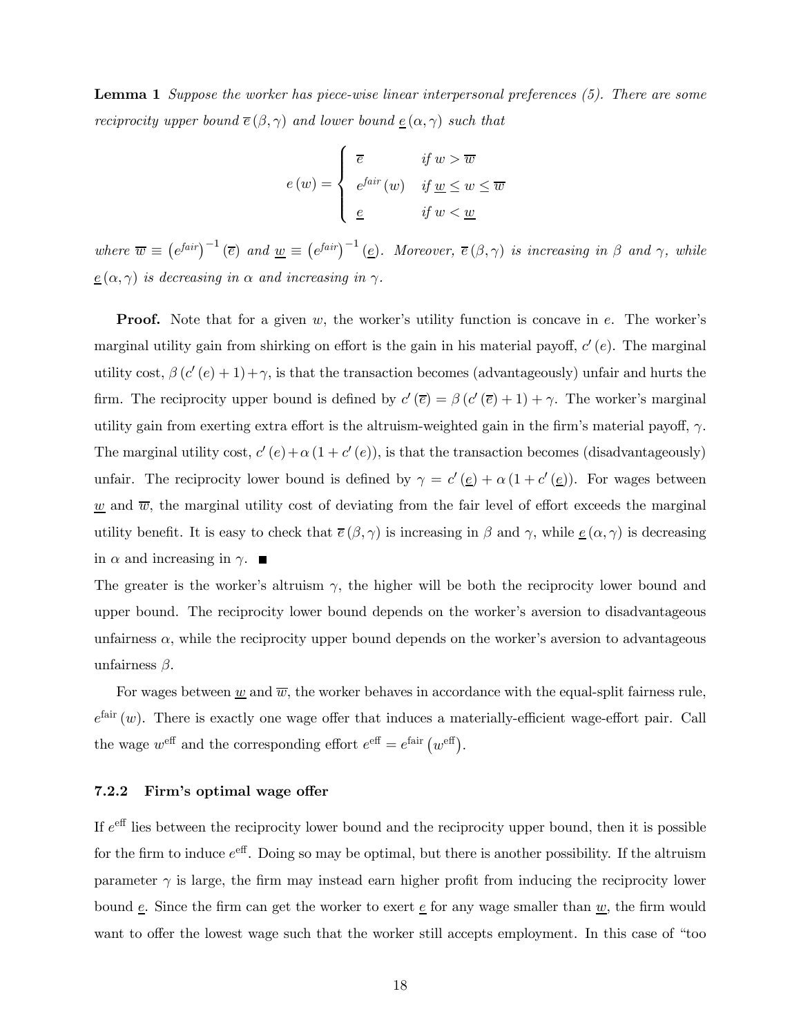Lemma 1 Suppose the worker has piece-wise linear interpersonal preferences (5). There are some *reciprocity upper bound*  $\overline{e}(\beta, \gamma)$  and lower bound  $\underline{e}(\alpha, \gamma)$  such that

$$
e(w) = \begin{cases} \overline{e} & \text{if } w > \overline{w} \\ e^{fair}(w) & \text{if } \underline{w} \le w \le \overline{w} \\ \underline{e} & \text{if } w < \underline{w} \end{cases}
$$

where  $\overline{w} \equiv (e^{fair})^{-1} (\overline{e})$  and  $\underline{w} \equiv (e^{fair})^{-1} (\underline{e})$ . Moreover,  $\overline{e}(\beta, \gamma)$  is increasing in  $\beta$  and  $\gamma$ , while  $\underline{e}(\alpha, \gamma)$  is decreasing in  $\alpha$  and increasing in  $\gamma$ .

**Proof.** Note that for a given w, the worker's utility function is concave in  $e$ . The worker's marginal utility gain from shirking on effort is the gain in his material payoff,  $c'(e)$ . The marginal utility cost,  $\beta(c'(e) + 1) + \gamma$ , is that the transaction becomes (advantageously) unfair and hurts the firm. The reciprocity upper bound is defined by  $c'(\overline{e}) = \beta (c'(\overline{e}) + 1) + \gamma$ . The worker's marginal utility gain from exerting extra effort is the altruism-weighted gain in the firm's material payoff,  $\gamma$ . The marginal utility cost,  $c'(e)+\alpha(1 + c'(e))$ , is that the transaction becomes (disadvantageously) unfair. The reciprocity lower bound is defined by  $\gamma = c'(\underline{e}) + \alpha (1 + c'(\underline{e}))$ . For wages between  $\underline{w}$  and  $\overline{w}$ , the marginal utility cost of deviating from the fair level of effort exceeds the marginal utility benefit. It is easy to check that  $\bar{e}(\beta, \gamma)$  is increasing in  $\beta$  and  $\gamma$ , while  $\underline{e}(\alpha, \gamma)$  is decreasing in  $\alpha$  and increasing in  $\gamma$ .

The greater is the worker's altruism  $\gamma$ , the higher will be both the reciprocity lower bound and upper bound. The reciprocity lower bound depends on the worker's aversion to disadvantageous unfairness  $\alpha$ , while the reciprocity upper bound depends on the worker's aversion to advantageous unfairness  $\beta$ .

For wages between w and  $\overline{w}$ , the worker behaves in accordance with the equal-split fairness rule,  $e^{fair}(w)$ . There is exactly one wage offer that induces a materially-efficient wage-effort pair. Call the wage  $w^{\text{eff}}$  and the corresponding effort  $e^{\text{eff}} = e^{\text{fair}} (w^{\text{eff}})$ .

### 7.2.2 Firm's optimal wage offer

If  $e^{\text{eff}}$  lies between the reciprocity lower bound and the reciprocity upper bound, then it is possible for the firm to induce  $e^{\text{eff}}$ . Doing so may be optimal, but there is another possibility. If the altruism parameter  $\gamma$  is large, the firm may instead earn higher profit from inducing the reciprocity lower bound  $\underline{e}$ . Since the firm can get the worker to exert  $\underline{e}$  for any wage smaller than  $\underline{w}$ , the firm would want to offer the lowest wage such that the worker still accepts employment. In this case of "too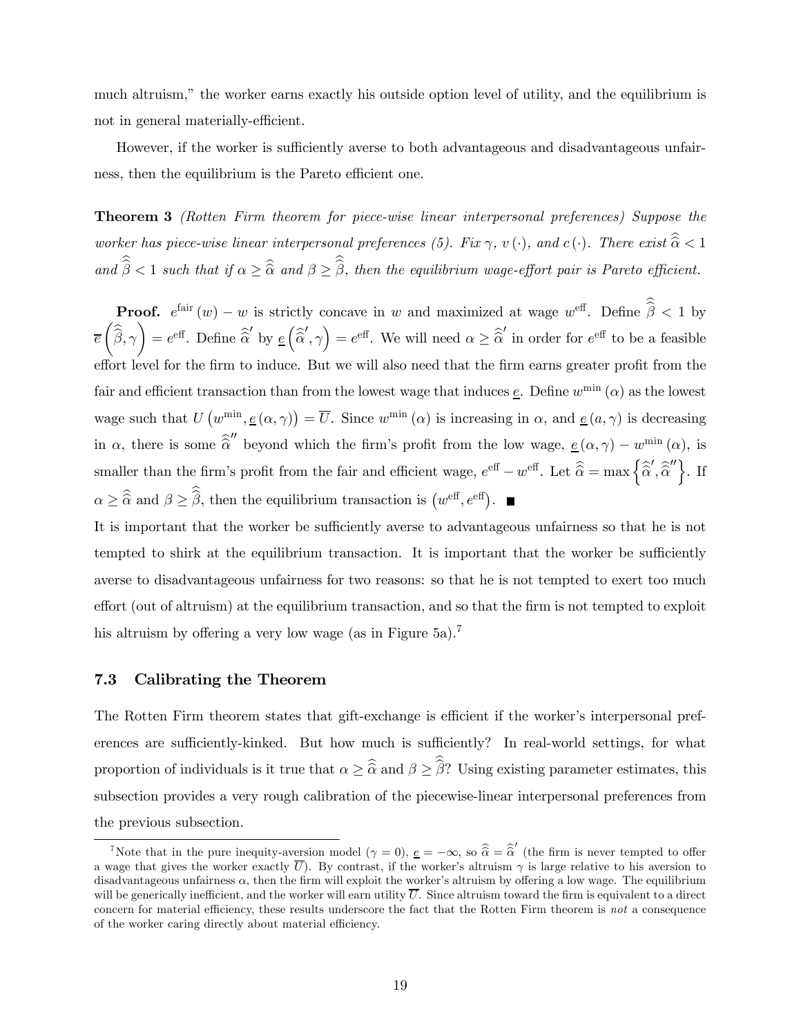much altruism," the worker earns exactly his outside option level of utility, and the equilibrium is not in general materially-efficient.

However, if the worker is sufficiently averse to both advantageous and disadvantageous unfairness, then the equilibrium is the Pareto efficient one.

Theorem 3 (Rotten Firm theorem for piece-wise linear interpersonal preferences) Suppose the worker has piece-wise linear interpersonal preferences (5). Fix  $\gamma$ ,  $v(\cdot)$ , and  $c(\cdot)$ . There exist  $\widehat{\alpha} < 1$ and  $\beta < 1$  such that if  $\alpha \geq \hat{\alpha}$  and  $\beta \geq \beta$ , then the equilibrium wage-effort pair is Pareto efficient.

**Proof.**  $e^{\text{fair}}(w) - w$  is strictly concave in w and maximized at wage  $w^{\text{eff}}$ . Define  $\hat{\beta} < 1$  by e µ  $\beta, \gamma$  $\Big) = e^{\text{eff}}$ . Define  $\widehat{\hat{\alpha}}'$  by  $\underline{e}$  $\Big($  $\widehat{\alpha}', \gamma$  =  $e^{\text{eff}}$ . We will need  $\alpha \geq \widehat{\alpha}'$  in order for  $e^{\text{eff}}$  to be a feasible effort level for the firm to induce. But we will also need that the firm earns greater profit from the fair and efficient transaction than from the lowest wage that induces  $\underline{e}$ . Define  $w^{\min}(\alpha)$  as the lowest wage such that  $U(w^{\min}, \underline{e}(\alpha, \gamma)) = \overline{U}$ . Since  $w^{\min}(\alpha)$  is increasing in  $\alpha$ , and  $\underline{e}(a, \gamma)$  is decreasing in  $\alpha$ , there is some  $\widehat{\alpha}''$  beyond which the firm's profit from the low wage,  $\underline{e}(\alpha, \gamma) - w^{\min}(\alpha)$ , is smaller than the firm's profit from the fair and efficient wage,  $e^{\text{eff}} - w^{\text{eff}}$ . Let  $\hat{\hat{\alpha}} = \max \{ \hat{\hat{\alpha}}', \hat{\hat{\alpha}}'' \}$ . If  $\alpha \geq \widehat{\alpha}$  and  $\beta \geq \widehat{\beta}$ , then the equilibrium transaction is  $(w^{\text{eff}}, e^{\text{eff}})$ .

It is important that the worker be sufficiently averse to advantageous unfairness so that he is not tempted to shirk at the equilibrium transaction. It is important that the worker be sufficiently averse to disadvantageous unfairness for two reasons: so that he is not tempted to exert too much effort (out of altruism) at the equilibrium transaction, and so that the firm is not tempted to exploit his altruism by offering a very low wage (as in Figure 5a).<sup>7</sup>

### 7.3 Calibrating the Theorem

The Rotten Firm theorem states that gift-exchange is efficient if the worker's interpersonal preferences are sufficiently-kinked. But how much is sufficiently? In real-world settings, for what proportion of individuals is it true that  $\alpha \geq \widehat{\alpha}$  and  $\beta \geq \beta$ ? Using existing parameter estimates, this subsection provides a very rough calibration of the piecewise-linear interpersonal preferences from the previous subsection.

<sup>&</sup>lt;sup>7</sup>Note that in the pure inequity-aversion model  $(\gamma = 0)$ ,  $\underline{e} = -\infty$ , so  $\hat{\hat{\alpha}} = \hat{\hat{\alpha}}'$  (the firm is never tempted to offer a wage that gives the worker exactly U). By contrast, if the worker's altruism  $\gamma$  is large relative to his aversion to disadvantageous unfairness  $\alpha$ , then the firm will exploit the worker's altruism by offering a low wage. The equilibrium will be generically inefficient, and the worker will earn utility  $\overline{U}$ . Since altruism toward the firm is equivalent to a direct concern for material efficiency, these results underscore the fact that the Rotten Firm theorem is not a consequence of the worker caring directly about material efficiency.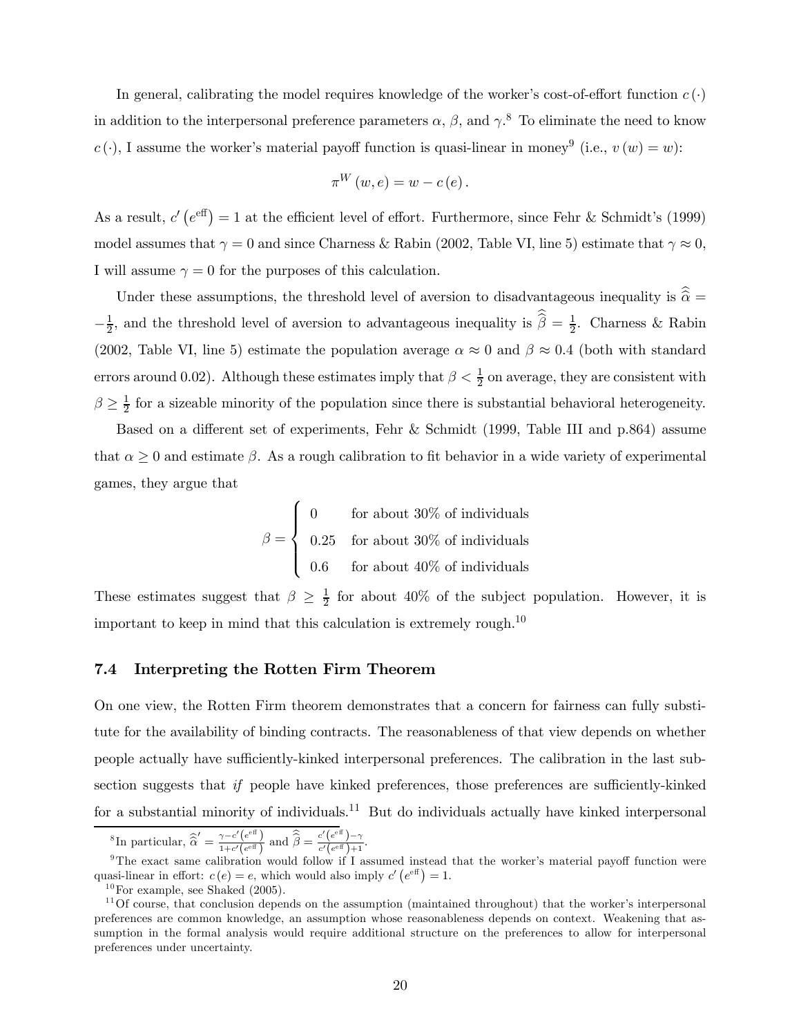In general, calibrating the model requires knowledge of the worker's cost-of-effort function  $c(\cdot)$ in addition to the interpersonal preference parameters  $\alpha$ ,  $\beta$ , and  $\gamma$ .<sup>8</sup> To eliminate the need to know  $c(\cdot)$ , I assume the worker's material payoff function is quasi-linear in money<sup>9</sup> (i.e.,  $v(w) = w$ ):

$$
\pi^{W}(w,e) = w - c(e).
$$

As a result,  $c'(e^{eff}) = 1$  at the efficient level of effort. Furthermore, since Fehr & Schmidt's (1999) model assumes that  $\gamma = 0$  and since Charness & Rabin (2002, Table VI, line 5) estimate that  $\gamma \approx 0$ , I will assume  $\gamma = 0$  for the purposes of this calculation.

Under these assumptions, the threshold level of aversion to disadvantageous inequality is  $\hat{\alpha} =$  $-\frac{1}{2}$ , and the threshold level of aversion to advantageous inequality is  $\hat{\beta} = \frac{1}{2}$ . Charness & Rabin (2002, Table VI, line 5) estimate the population average  $\alpha \approx 0$  and  $\beta \approx 0.4$  (both with standard errors around 0.02). Although these estimates imply that  $\beta < \frac{1}{2}$  on average, they are consistent with  $\beta \geq \frac{1}{2}$  for a sizeable minority of the population since there is substantial behavioral heterogeneity.

Based on a different set of experiments, Fehr & Schmidt (1999, Table III and p.864) assume that  $\alpha \geq 0$  and estimate  $\beta$ . As a rough calibration to fit behavior in a wide variety of experimental games, they argue that

$$
\beta = \begin{cases}\n0 & \text{for about 30\% of individuals} \\
0.25 & \text{for about 30\% of individuals} \\
0.6 & \text{for about 40\% of individuals}\n\end{cases}
$$

These estimates suggest that  $\beta \geq \frac{1}{2}$  for about 40% of the subject population. However, it is important to keep in mind that this calculation is extremely rough.<sup>10</sup>

### 7.4 Interpreting the Rotten Firm Theorem

On one view, the Rotten Firm theorem demonstrates that a concern for fairness can fully substitute for the availability of binding contracts. The reasonableness of that view depends on whether people actually have sufficiently-kinked interpersonal preferences. The calibration in the last subsection suggests that if people have kinked preferences, those preferences are sufficiently-kinked for a substantial minority of individuals.<sup>11</sup> But do individuals actually have kinked interpersonal

$$
{}^{8}\text{In particular, }\widehat{\widehat{\alpha}}' = \frac{\gamma - c'(e^{ef})}{1 + c'(e^{ef})} \text{ and } \widehat{\widehat{\beta}} = \frac{c'(e^{ef}) - \gamma}{c'(e^{ef}) + 1}.
$$

<sup>&</sup>lt;sup>9</sup>The exact same calibration would follow if I assumed instead that the worker's material payoff function were quasi-linear in effort:  $c(e) = e$ , which would also imply  $c'(e^{e f}) = 1$ .

 $10$  For example, see Shaked (2005).

 $11$  Of course, that conclusion depends on the assumption (maintained throughout) that the worker's interpersonal preferences are common knowledge, an assumption whose reasonableness depends on context. Weakening that assumption in the formal analysis would require additional structure on the preferences to allow for interpersonal preferences under uncertainty.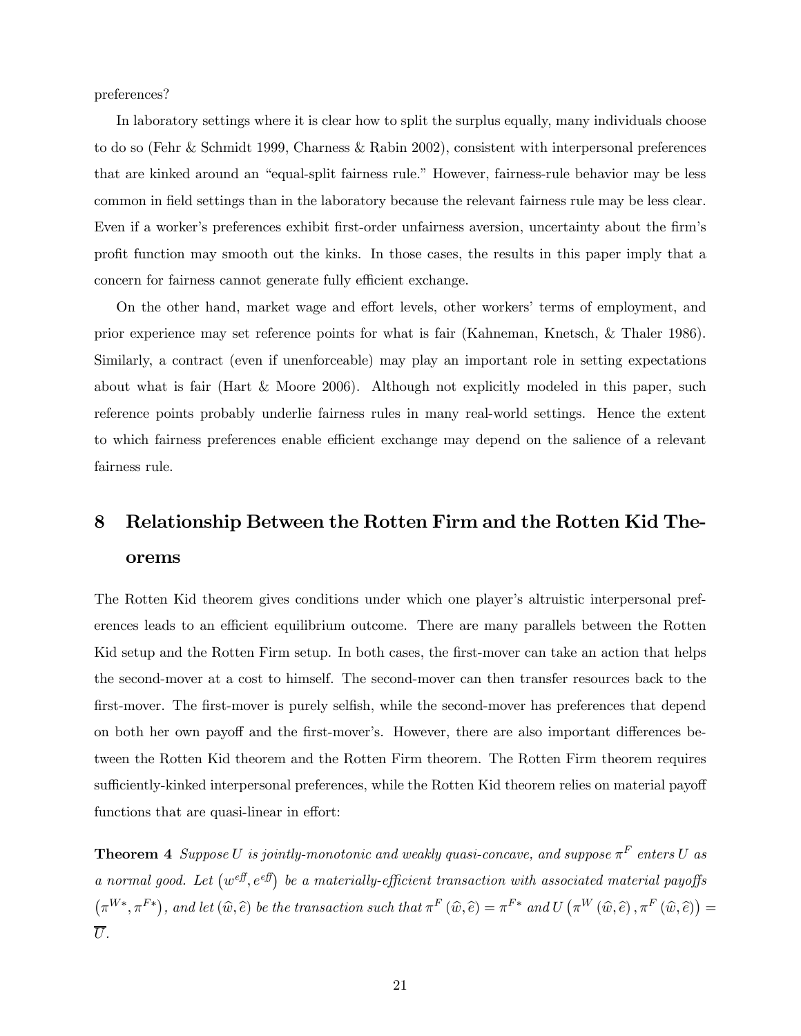preferences?

In laboratory settings where it is clear how to split the surplus equally, many individuals choose to do so (Fehr & Schmidt 1999, Charness & Rabin 2002), consistent with interpersonal preferences that are kinked around an "equal-split fairness rule." However, fairness-rule behavior may be less common in field settings than in the laboratory because the relevant fairness rule may be less clear. Even if a worker's preferences exhibit first-order unfairness aversion, uncertainty about the firm's profit function may smooth out the kinks. In those cases, the results in this paper imply that a concern for fairness cannot generate fully efficient exchange.

On the other hand, market wage and effort levels, other workers' terms of employment, and prior experience may set reference points for what is fair (Kahneman, Knetsch, & Thaler 1986). Similarly, a contract (even if unenforceable) may play an important role in setting expectations about what is fair (Hart & Moore 2006). Although not explicitly modeled in this paper, such reference points probably underlie fairness rules in many real-world settings. Hence the extent to which fairness preferences enable efficient exchange may depend on the salience of a relevant fairness rule.

## 8 Relationship Between the Rotten Firm and the Rotten Kid Theorems

The Rotten Kid theorem gives conditions under which one player's altruistic interpersonal preferences leads to an efficient equilibrium outcome. There are many parallels between the Rotten Kid setup and the Rotten Firm setup. In both cases, the first-mover can take an action that helps the second-mover at a cost to himself. The second-mover can then transfer resources back to the first-mover. The first-mover is purely selfish, while the second-mover has preferences that depend on both her own payoff and the first-mover's. However, there are also important differences between the Rotten Kid theorem and the Rotten Firm theorem. The Rotten Firm theorem requires sufficiently-kinked interpersonal preferences, while the Rotten Kid theorem relies on material payoff functions that are quasi-linear in effort:

**Theorem 4** Suppose U is jointly-monotonic and weakly quasi-concave, and suppose  $\pi^F$  enters U as a normal good. Let  $(w^{eff}, e^{eff})$  be a materially-efficient transaction with associated material payoffs  $(\pi^{W*}, \pi^{F*})$ , and let  $(\widehat{w}, \widehat{e})$  be the transaction such that  $\pi^F(\widehat{w}, \widehat{e}) = \pi^{F*}$  and  $U(\pi^W(\widehat{w}, \widehat{e}), \pi^F(\widehat{w}, \widehat{e})) =$  $\overline{U}$ .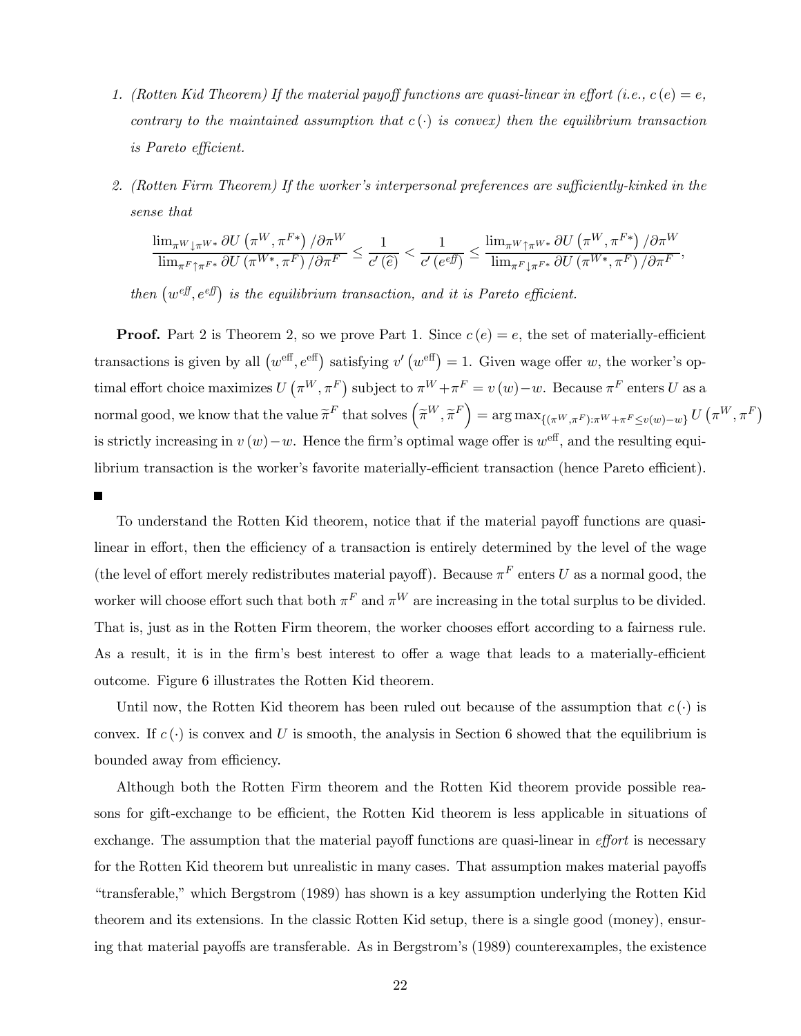- 1. (Rotten Kid Theorem) If the material payoff functions are quasi-linear in effort (i.e.,  $c(e) = e$ , contrary to the maintained assumption that  $c(\cdot)$  is convex) then the equilibrium transaction is Pareto efficient.
- 2. (Rotten Firm Theorem) If the worker's interpersonal preferences are sufficiently-kinked in the sense that

$$
\frac{\lim_{\pi^{W}\downarrow\pi^{W*}}\partial U\left(\pi^{W},\pi^{F*}\right)/\partial\pi^{W}}{\lim_{\pi^{F}\uparrow\pi^{F*}}\partial U\left(\pi^{W*},\pi^{F}\right)/\partial\pi^{F}} \leq \frac{1}{c'\left(\widehat{e}\right)} < \frac{1}{c'\left(e^{ef}\right)} \leq \frac{\lim_{\pi^{W}\uparrow\pi^{W*}}\partial U\left(\pi^{W},\pi^{F*}\right)/\partial\pi^{W}}{\lim_{\pi^{F}\downarrow\pi^{F*}}\partial U\left(\pi^{W*},\pi^{F}\right)/\partial\pi^{F}},
$$

then  $(w^{eff}, e^{eff})$  is the equilibrium transaction, and it is Pareto efficient.

**Proof.** Part 2 is Theorem 2, so we prove Part 1. Since  $c(e) = e$ , the set of materially-efficient transactions is given by all  $(w^{\text{eff}}, e^{\text{eff}})$  satisfying  $v'(w^{\text{eff}}) = 1$ . Given wage offer w, the worker's optimal effort choice maximizes  $U(\pi^W, \pi^F)$  subject to  $\pi^W + \pi^F = v(w) - w$ . Because  $\pi^F$  enters U as a normal good, we know that the value  $\widetilde{\pi}^F$  that solves  $(\widetilde{\pi}^W, \widetilde{\pi}^F) = \arg \max_{\{(\pi^W, \pi^F): \pi^W + \pi^F \leq v(w) - w\}} U(\pi^W, \pi^F)$ is strictly increasing in  $v(w)-w$ . Hence the firm's optimal wage offer is  $w^{\text{eff}}$ , and the resulting equilibrium transaction is the worker's favorite materially-efficient transaction (hence Pareto efficient).

 $\blacksquare$ 

To understand the Rotten Kid theorem, notice that if the material payoff functions are quasilinear in effort, then the efficiency of a transaction is entirely determined by the level of the wage (the level of effort merely redistributes material payoff). Because  $\pi^F$  enters U as a normal good, the worker will choose effort such that both  $\pi^F$  and  $\pi^W$  are increasing in the total surplus to be divided. That is, just as in the Rotten Firm theorem, the worker chooses effort according to a fairness rule. As a result, it is in the firm's best interest to offer a wage that leads to a materially-efficient outcome. Figure 6 illustrates the Rotten Kid theorem.

Until now, the Rotten Kid theorem has been ruled out because of the assumption that  $c(\cdot)$  is convex. If  $c(\cdot)$  is convex and U is smooth, the analysis in Section 6 showed that the equilibrium is bounded away from efficiency.

Although both the Rotten Firm theorem and the Rotten Kid theorem provide possible reasons for gift-exchange to be efficient, the Rotten Kid theorem is less applicable in situations of exchange. The assumption that the material payoff functions are quasi-linear in *effort* is necessary for the Rotten Kid theorem but unrealistic in many cases. That assumption makes material payoffs "transferable," which Bergstrom (1989) has shown is a key assumption underlying the Rotten Kid theorem and its extensions. In the classic Rotten Kid setup, there is a single good (money), ensuring that material payoffs are transferable. As in Bergstrom's (1989) counterexamples, the existence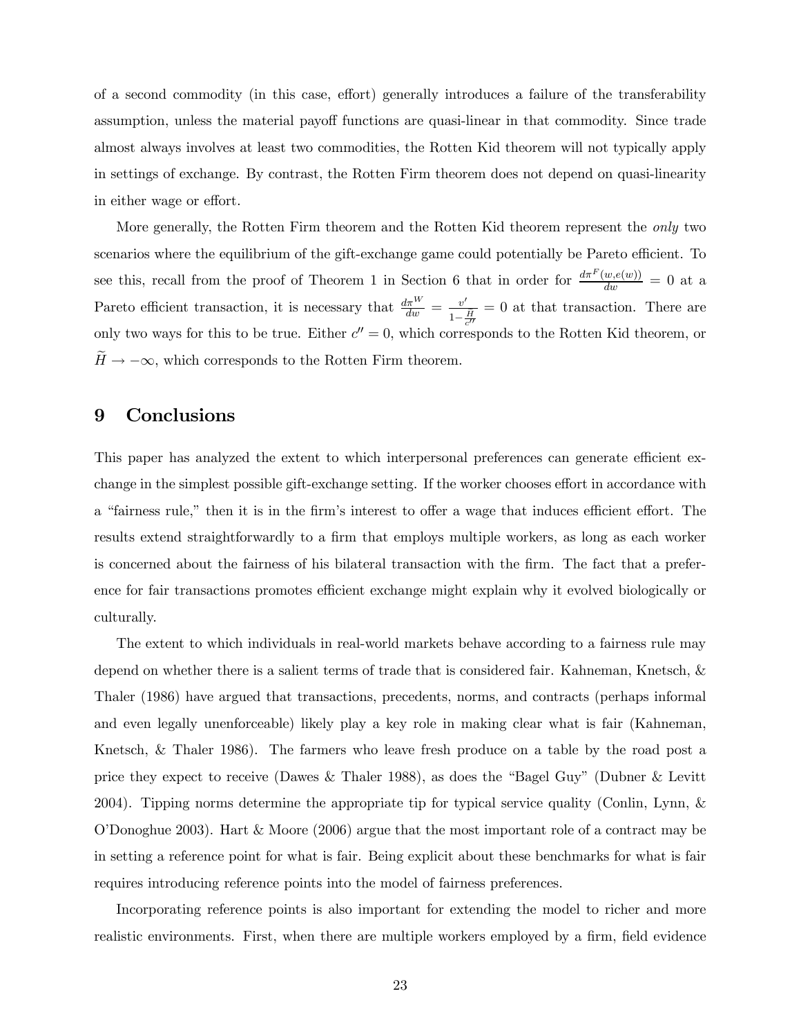of a second commodity (in this case, effort) generally introduces a failure of the transferability assumption, unless the material payoff functions are quasi-linear in that commodity. Since trade almost always involves at least two commodities, the Rotten Kid theorem will not typically apply in settings of exchange. By contrast, the Rotten Firm theorem does not depend on quasi-linearity in either wage or effort.

More generally, the Rotten Firm theorem and the Rotten Kid theorem represent the *only* two scenarios where the equilibrium of the gift-exchange game could potentially be Pareto efficient. To see this, recall from the proof of Theorem 1 in Section 6 that in order for  $\frac{d\pi^F(w,e(w))}{dw} = 0$  at a Pareto efficient transaction, it is necessary that  $\frac{d\pi^W}{dw} = \frac{v'}{1-\frac{\tilde{H}}{c''}}$ = 0 at that transaction. There are only two ways for this to be true. Either  $c'' = 0$ , which corresponds to the Rotten Kid theorem, or  $\widetilde{H} \to -\infty$ , which corresponds to the Rotten Firm theorem.

## 9 Conclusions

This paper has analyzed the extent to which interpersonal preferences can generate efficient exchange in the simplest possible gift-exchange setting. If the worker chooses effort in accordance with a "fairness rule," then it is in the firm's interest to offer a wage that induces efficient effort. The results extend straightforwardly to a firm that employs multiple workers, as long as each worker is concerned about the fairness of his bilateral transaction with the firm. The fact that a preference for fair transactions promotes efficient exchange might explain why it evolved biologically or culturally.

The extent to which individuals in real-world markets behave according to a fairness rule may depend on whether there is a salient terms of trade that is considered fair. Kahneman, Knetsch, & Thaler (1986) have argued that transactions, precedents, norms, and contracts (perhaps informal and even legally unenforceable) likely play a key role in making clear what is fair (Kahneman, Knetsch, & Thaler 1986). The farmers who leave fresh produce on a table by the road post a price they expect to receive (Dawes & Thaler 1988), as does the "Bagel Guy" (Dubner & Levitt 2004). Tipping norms determine the appropriate tip for typical service quality (Conlin, Lynn, & O'Donoghue 2003). Hart & Moore (2006) argue that the most important role of a contract may be in setting a reference point for what is fair. Being explicit about these benchmarks for what is fair requires introducing reference points into the model of fairness preferences.

Incorporating reference points is also important for extending the model to richer and more realistic environments. First, when there are multiple workers employed by a firm, field evidence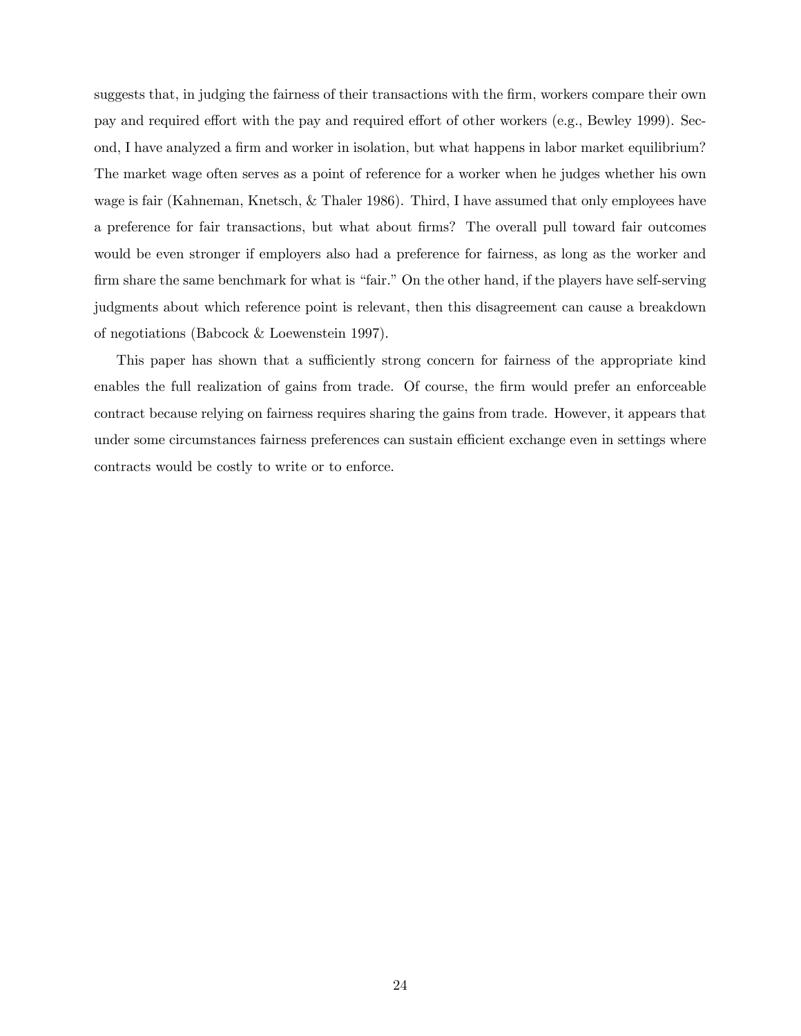suggests that, in judging the fairness of their transactions with the firm, workers compare their own pay and required effort with the pay and required effort of other workers (e.g., Bewley 1999). Second, I have analyzed a firm and worker in isolation, but what happens in labor market equilibrium? The market wage often serves as a point of reference for a worker when he judges whether his own wage is fair (Kahneman, Knetsch, & Thaler 1986). Third, I have assumed that only employees have a preference for fair transactions, but what about firms? The overall pull toward fair outcomes would be even stronger if employers also had a preference for fairness, as long as the worker and firm share the same benchmark for what is "fair." On the other hand, if the players have self-serving judgments about which reference point is relevant, then this disagreement can cause a breakdown of negotiations (Babcock & Loewenstein 1997).

This paper has shown that a sufficiently strong concern for fairness of the appropriate kind enables the full realization of gains from trade. Of course, the firm would prefer an enforceable contract because relying on fairness requires sharing the gains from trade. However, it appears that under some circumstances fairness preferences can sustain efficient exchange even in settings where contracts would be costly to write or to enforce.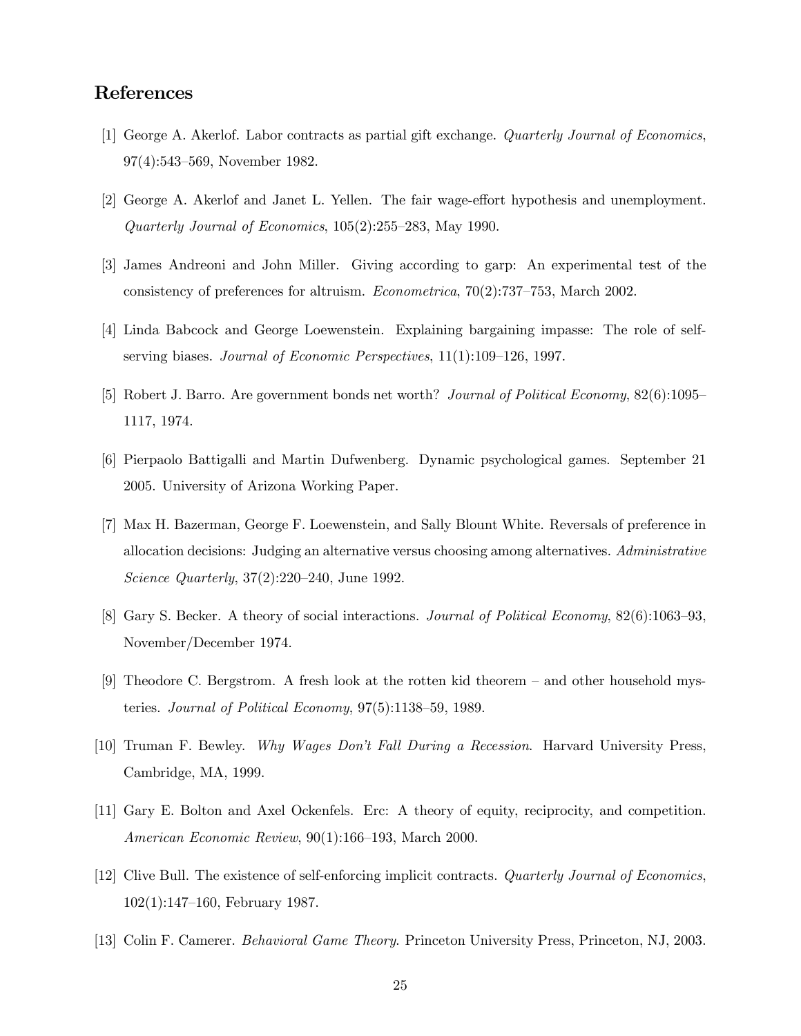## References

- [1] George A. Akerlof. Labor contracts as partial gift exchange. Quarterly Journal of Economics, 97(4):543—569, November 1982.
- [2] George A. Akerlof and Janet L. Yellen. The fair wage-effort hypothesis and unemployment. Quarterly Journal of Economics, 105(2):255—283, May 1990.
- [3] James Andreoni and John Miller. Giving according to garp: An experimental test of the consistency of preferences for altruism. Econometrica, 70(2):737—753, March 2002.
- [4] Linda Babcock and George Loewenstein. Explaining bargaining impasse: The role of selfserving biases. Journal of Economic Perspectives, 11(1):109—126, 1997.
- [5] Robert J. Barro. Are government bonds net worth? Journal of Political Economy, 82(6):1095— 1117, 1974.
- [6] Pierpaolo Battigalli and Martin Dufwenberg. Dynamic psychological games. September 21 2005. University of Arizona Working Paper.
- [7] Max H. Bazerman, George F. Loewenstein, and Sally Blount White. Reversals of preference in allocation decisions: Judging an alternative versus choosing among alternatives. Administrative Science Quarterly, 37(2):220—240, June 1992.
- [8] Gary S. Becker. A theory of social interactions. Journal of Political Economy, 82(6):1063—93, November/December 1974.
- [9] Theodore C. Bergstrom. A fresh look at the rotten kid theorem and other household mysteries. Journal of Political Economy, 97(5):1138—59, 1989.
- [10] Truman F. Bewley. Why Wages Don't Fall During a Recession. Harvard University Press, Cambridge, MA, 1999.
- [11] Gary E. Bolton and Axel Ockenfels. Erc: A theory of equity, reciprocity, and competition. American Economic Review, 90(1):166—193, March 2000.
- [12] Clive Bull. The existence of self-enforcing implicit contracts. Quarterly Journal of Economics, 102(1):147—160, February 1987.
- [13] Colin F. Camerer. Behavioral Game Theory. Princeton University Press, Princeton, NJ, 2003.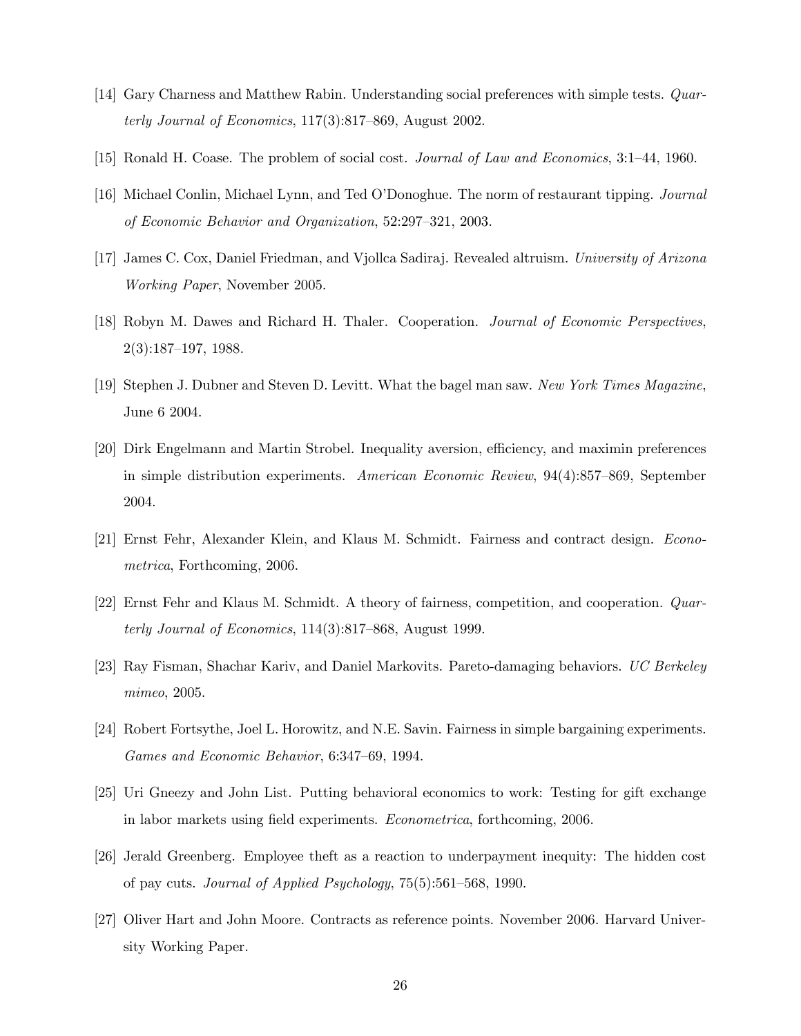- [14] Gary Charness and Matthew Rabin. Understanding social preferences with simple tests. Quarterly Journal of Economics, 117(3):817—869, August 2002.
- [15] Ronald H. Coase. The problem of social cost. Journal of Law and Economics, 3:1—44, 1960.
- [16] Michael Conlin, Michael Lynn, and Ted O'Donoghue. The norm of restaurant tipping. Journal of Economic Behavior and Organization, 52:297—321, 2003.
- [17] James C. Cox, Daniel Friedman, and Vjollca Sadiraj. Revealed altruism. University of Arizona Working Paper, November 2005.
- [18] Robyn M. Dawes and Richard H. Thaler. Cooperation. Journal of Economic Perspectives, 2(3):187—197, 1988.
- [19] Stephen J. Dubner and Steven D. Levitt. What the bagel man saw. New York Times Magazine, June 6 2004.
- [20] Dirk Engelmann and Martin Strobel. Inequality aversion, efficiency, and maximin preferences in simple distribution experiments. American Economic Review, 94(4):857—869, September 2004.
- [21] Ernst Fehr, Alexander Klein, and Klaus M. Schmidt. Fairness and contract design. Econometrica, Forthcoming, 2006.
- [22] Ernst Fehr and Klaus M. Schmidt. A theory of fairness, competition, and cooperation. Quarterly Journal of Economics, 114(3):817—868, August 1999.
- [23] Ray Fisman, Shachar Kariv, and Daniel Markovits. Pareto-damaging behaviors. UC Berkeley mimeo, 2005.
- [24] Robert Fortsythe, Joel L. Horowitz, and N.E. Savin. Fairness in simple bargaining experiments. Games and Economic Behavior, 6:347—69, 1994.
- [25] Uri Gneezy and John List. Putting behavioral economics to work: Testing for gift exchange in labor markets using field experiments. Econometrica, forthcoming, 2006.
- [26] Jerald Greenberg. Employee theft as a reaction to underpayment inequity: The hidden cost of pay cuts. Journal of Applied Psychology, 75(5):561—568, 1990.
- [27] Oliver Hart and John Moore. Contracts as reference points. November 2006. Harvard University Working Paper.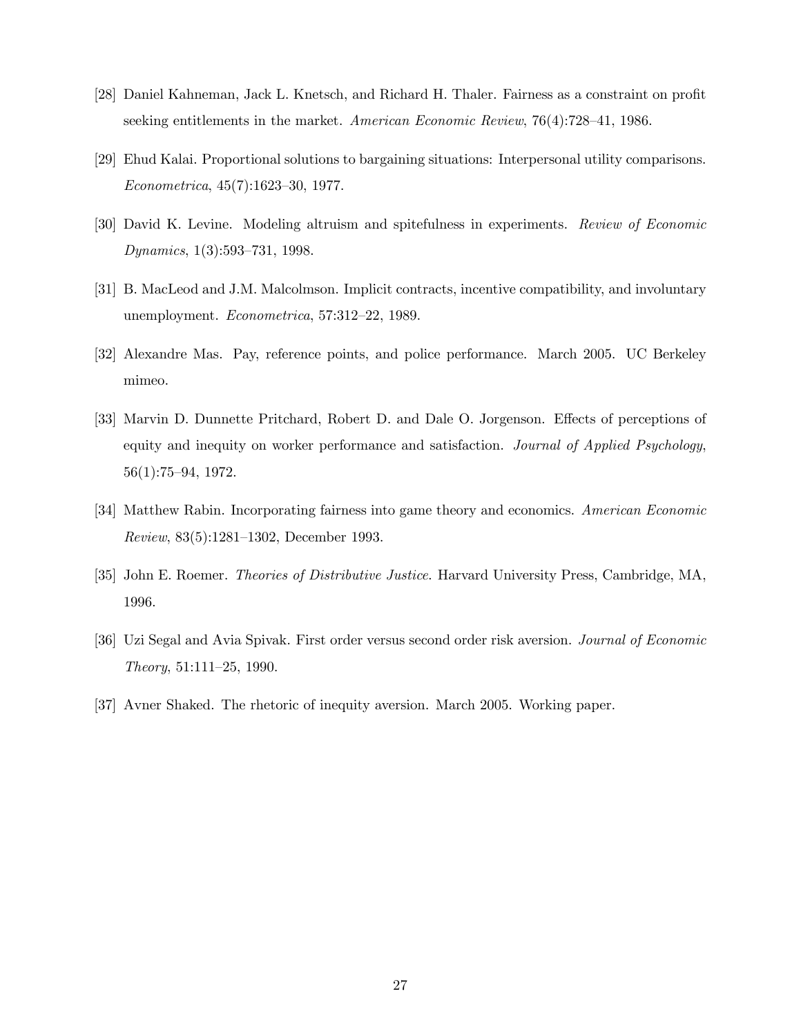- [28] Daniel Kahneman, Jack L. Knetsch, and Richard H. Thaler. Fairness as a constraint on profit seeking entitlements in the market. American Economic Review, 76(4):728—41, 1986.
- [29] Ehud Kalai. Proportional solutions to bargaining situations: Interpersonal utility comparisons. Econometrica, 45(7):1623—30, 1977.
- [30] David K. Levine. Modeling altruism and spitefulness in experiments. Review of Economic Dynamics, 1(3):593—731, 1998.
- [31] B. MacLeod and J.M. Malcolmson. Implicit contracts, incentive compatibility, and involuntary unemployment. Econometrica, 57:312—22, 1989.
- [32] Alexandre Mas. Pay, reference points, and police performance. March 2005. UC Berkeley mimeo.
- [33] Marvin D. Dunnette Pritchard, Robert D. and Dale O. Jorgenson. Effects of perceptions of equity and inequity on worker performance and satisfaction. Journal of Applied Psychology, 56(1):75—94, 1972.
- [34] Matthew Rabin. Incorporating fairness into game theory and economics. American Economic Review, 83(5):1281—1302, December 1993.
- [35] John E. Roemer. Theories of Distributive Justice. Harvard University Press, Cambridge, MA, 1996.
- [36] Uzi Segal and Avia Spivak. First order versus second order risk aversion. Journal of Economic Theory, 51:111—25, 1990.
- [37] Avner Shaked. The rhetoric of inequity aversion. March 2005. Working paper.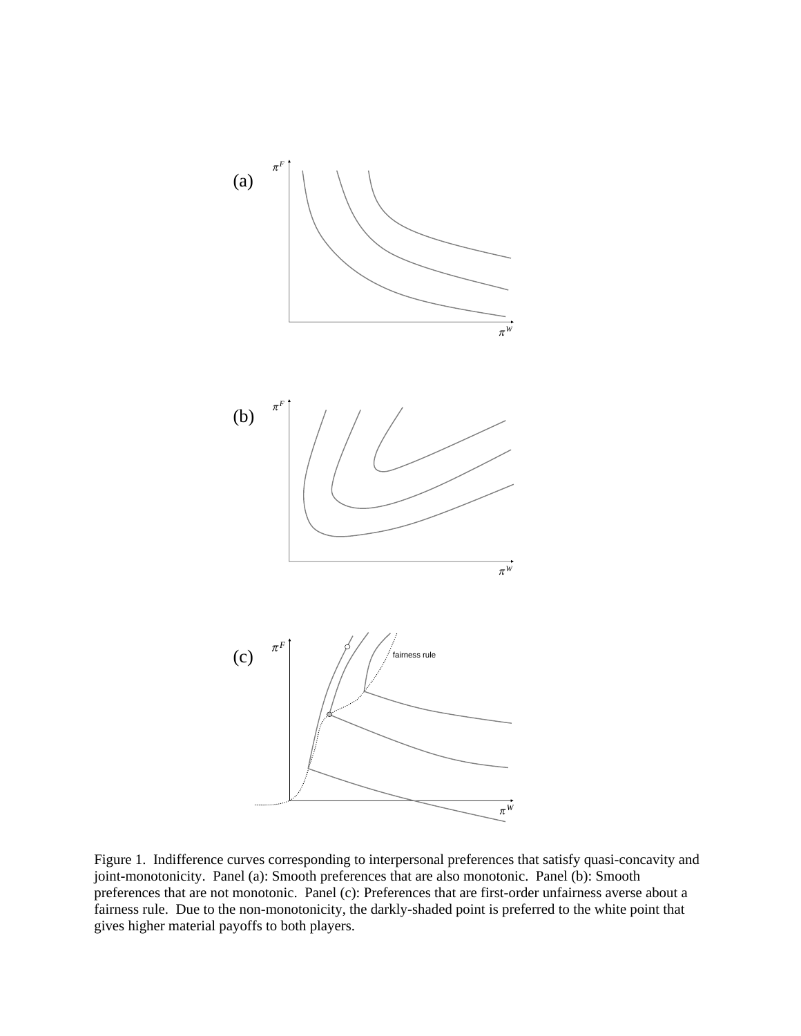

Figure 1. Indifference curves corresponding to interpersonal preferences that satisfy quasi-concavity and joint-monotonicity. Panel (a): Smooth preferences that are also monotonic. Panel (b): Smooth preferences that are not monotonic. Panel (c): Preferences that are first-order unfairness averse about a fairness rule. Due to the non-monotonicity, the darkly-shaded point is preferred to the white point that gives higher material payoffs to both players.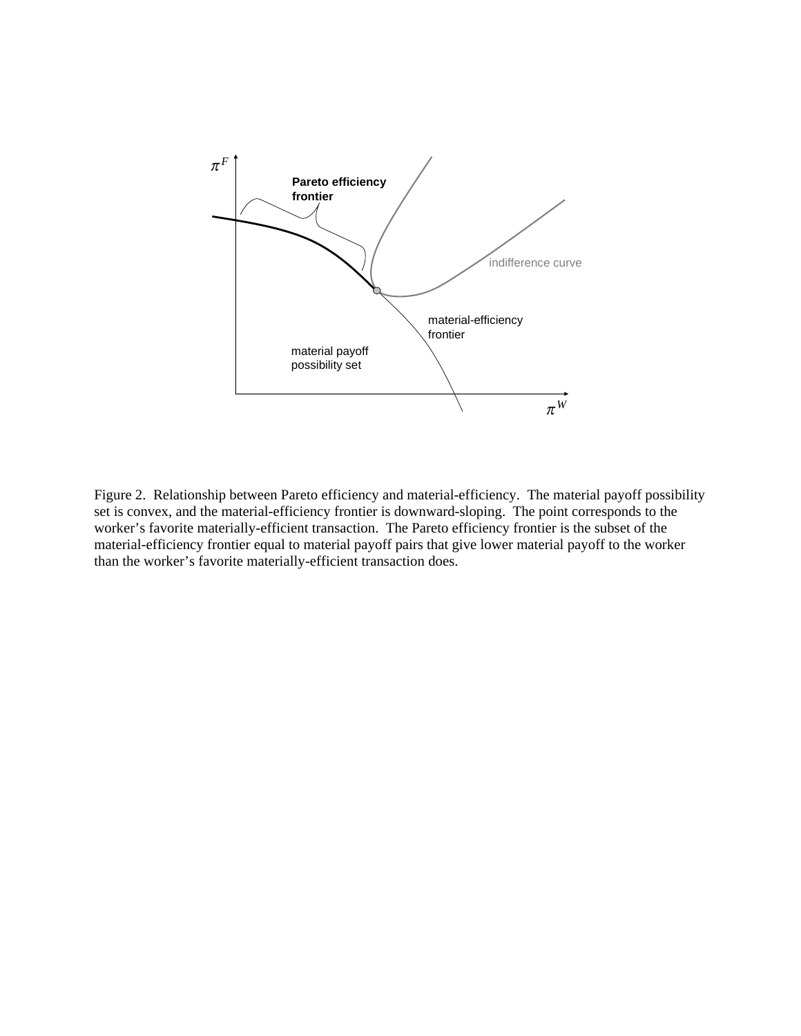

Figure 2. Relationship between Pareto efficiency and material-efficiency. The material payoff possibility set is convex, and the material-efficiency frontier is downward-sloping. The point corresponds to the worker's favorite materially-efficient transaction. The Pareto efficiency frontier is the subset of the material-efficiency frontier equal to material payoff pairs that give lower material payoff to the worker than the worker's favorite materially-efficient transaction does.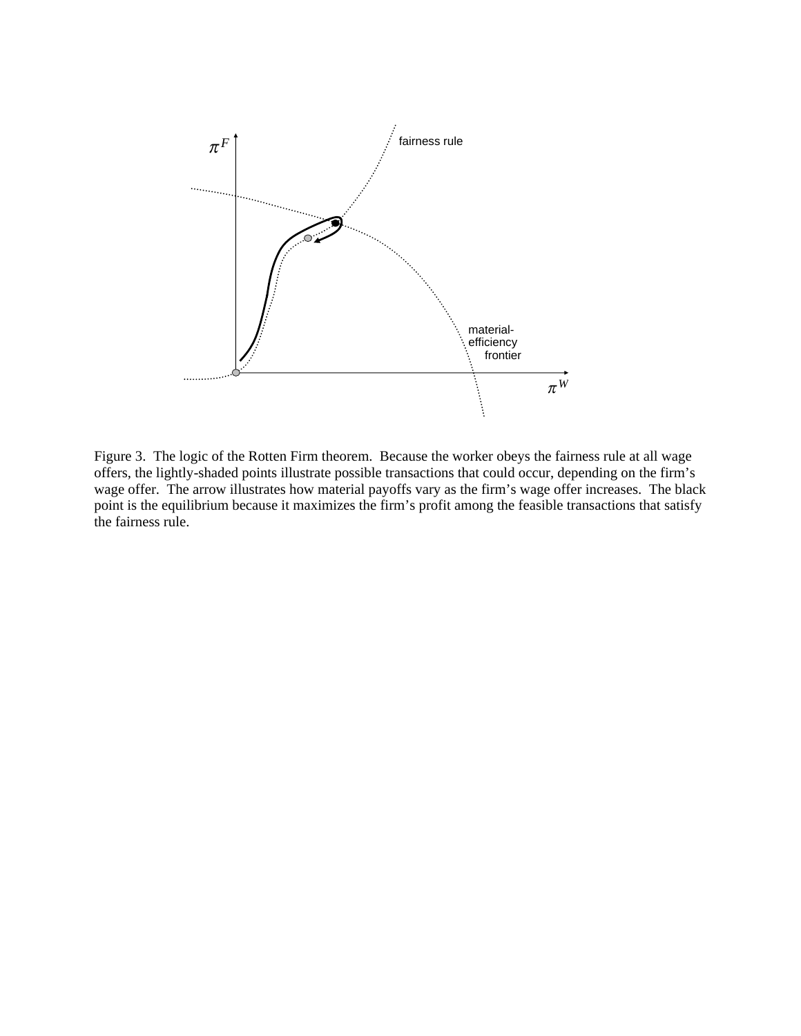

Figure 3. The logic of the Rotten Firm theorem. Because the worker obeys the fairness rule at all wage offers, the lightly-shaded points illustrate possible transactions that could occur, depending on the firm's wage offer. The arrow illustrates how material payoffs vary as the firm's wage offer increases. The black point is the equilibrium because it maximizes the firm's profit among the feasible transactions that satisfy the fairness rule.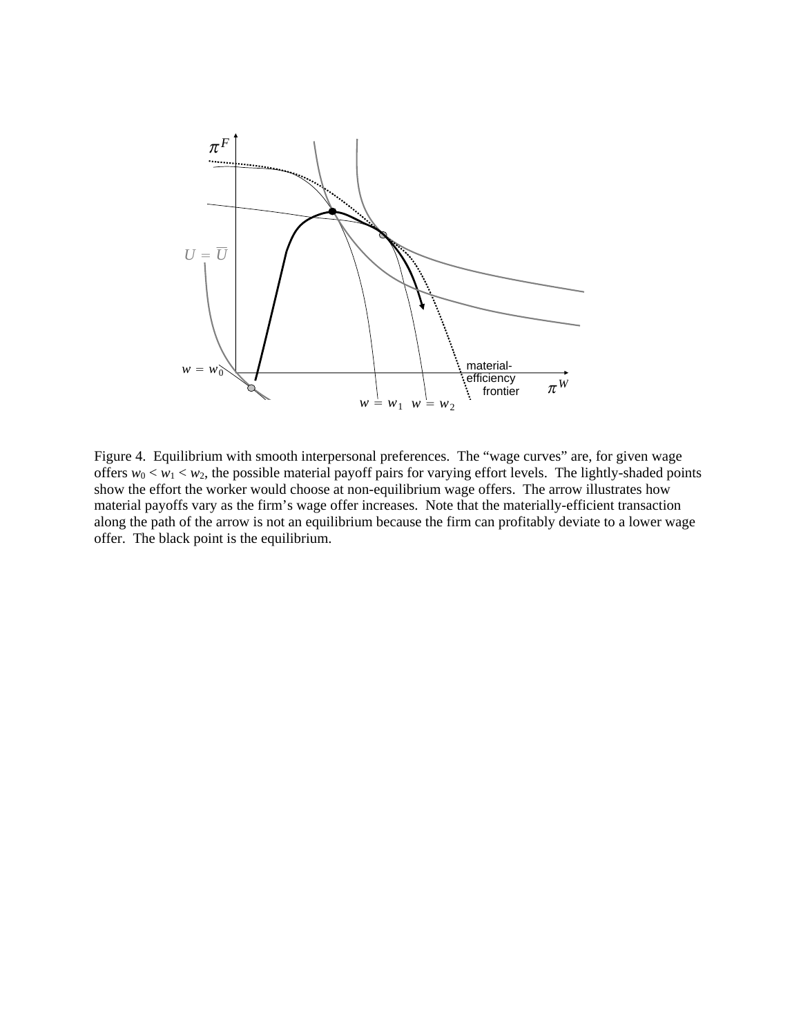

Figure 4. Equilibrium with smooth interpersonal preferences. The "wage curves" are, for given wage offers  $w_0 < w_1 < w_2$ , the possible material payoff pairs for varying effort levels. The lightly-shaded points show the effort the worker would choose at non-equilibrium wage offers. The arrow illustrates how material payoffs vary as the firm's wage offer increases. Note that the materially-efficient transaction along the path of the arrow is not an equilibrium because the firm can profitably deviate to a lower wage offer. The black point is the equilibrium.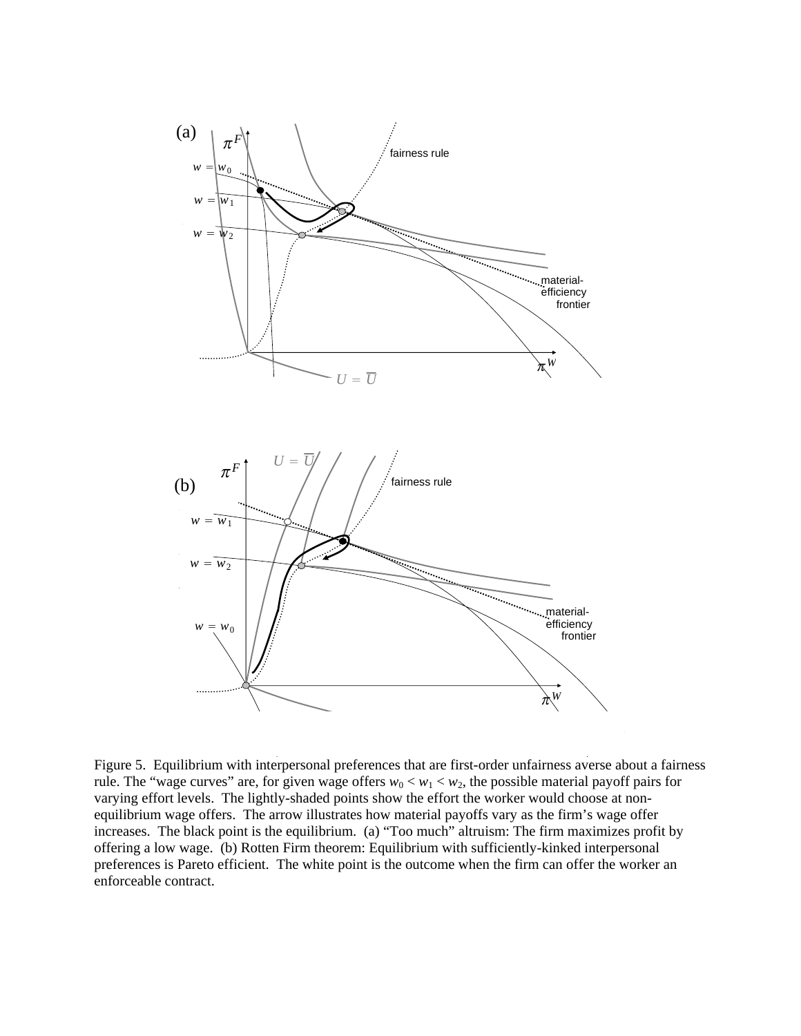

Figure 5. Equilibrium with interpersonal preferences that are first-order unfairness averse about a fairness rule. The "wage curves" are, for given wage offers  $w_0 < w_1 < w_2$ , the possible material payoff pairs for varying effort levels. The lightly-shaded points show the effort the worker would choose at nonequilibrium wage offers. The arrow illustrates how material payoffs vary as the firm's wage offer increases. The black point is the equilibrium. (a) "Too much" altruism: The firm maximizes profit by offering a low wage. (b) Rotten Firm theorem: Equilibrium with sufficiently-kinked interpersonal preferences is Pareto efficient. The white point is the outcome when the firm can offer the worker an enforceable contract.